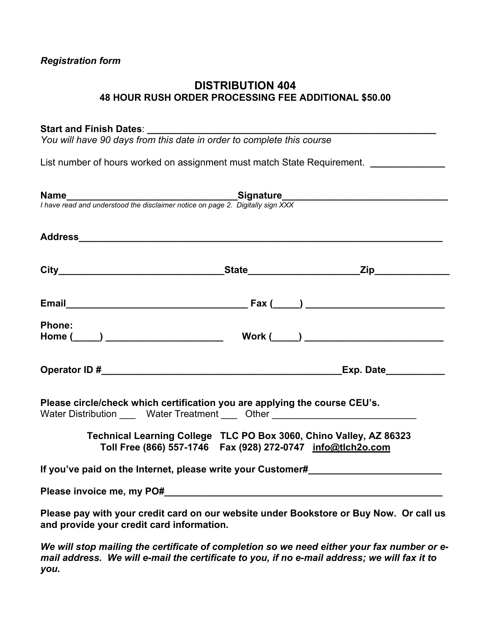## **DISTRIBUTION 404 48 HOUR RUSH ORDER PROCESSING FEE ADDITIONAL \$50.00**

## Start and Finish Dates:

*You will have 90 days from this date in order to complete this course* 

List number of hours worked on assignment must match State Requirement. *\_\_\_\_\_\_\_\_\_\_\_\_* 

|                                           | <b>Name</b><br>I have read and understood the disclaimer notice on page 2. Digitally sign XXX                                                                  |  |
|-------------------------------------------|----------------------------------------------------------------------------------------------------------------------------------------------------------------|--|
|                                           |                                                                                                                                                                |  |
|                                           |                                                                                                                                                                |  |
|                                           |                                                                                                                                                                |  |
| <b>Phone:</b>                             |                                                                                                                                                                |  |
|                                           |                                                                                                                                                                |  |
|                                           | Please circle/check which certification you are applying the course CEU's.<br>Water Distribution _____ Water Treatment ____ Other ____________________________ |  |
|                                           | Technical Learning College TLC PO Box 3060, Chino Valley, AZ 86323<br>Toll Free (866) 557-1746  Fax (928) 272-0747  info@tlch2o.com                            |  |
|                                           | If you've paid on the Internet, please write your Customer#                                                                                                    |  |
|                                           |                                                                                                                                                                |  |
| and provide your credit card information. | Please pay with your credit card on our website under Bookstore or Buy Now. Or call us                                                                         |  |
|                                           | We will stop mailing the certificate of completion so we need either your fax number or e-                                                                     |  |

*We will stop mailing the certificate of completion so we need either your fax number or email address. We will e-mail the certificate to you, if no e-mail address; we will fax it to you.*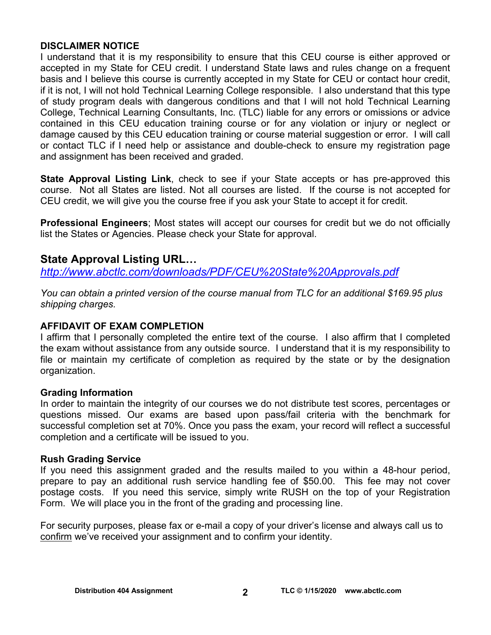## **DISCLAIMER NOTICE**

I understand that it is my responsibility to ensure that this CEU course is either approved or accepted in my State for CEU credit. I understand State laws and rules change on a frequent basis and I believe this course is currently accepted in my State for CEU or contact hour credit, if it is not, I will not hold Technical Learning College responsible. I also understand that this type of study program deals with dangerous conditions and that I will not hold Technical Learning College, Technical Learning Consultants, Inc. (TLC) liable for any errors or omissions or advice contained in this CEU education training course or for any violation or injury or neglect or damage caused by this CEU education training or course material suggestion or error. I will call or contact TLC if I need help or assistance and double-check to ensure my registration page and assignment has been received and graded.

**State Approval Listing Link**, check to see if your State accepts or has pre-approved this course. Not all States are listed. Not all courses are listed. If the course is not accepted for CEU credit, we will give you the course free if you ask your State to accept it for credit.

**Professional Engineers**; Most states will accept our courses for credit but we do not officially list the States or Agencies. Please check your State for approval.

## **State Approval Listing URL…**

*<http://www.abctlc.com/downloads/PDF/CEU%20State%20Approvals.pdf>*

*You can obtain a printed version of the course manual from TLC for an additional \$169.95 plus shipping charges.* 

## **AFFIDAVIT OF EXAM COMPLETION**

I affirm that I personally completed the entire text of the course. I also affirm that I completed the exam without assistance from any outside source. I understand that it is my responsibility to file or maintain my certificate of completion as required by the state or by the designation organization.

## **Grading Information**

In order to maintain the integrity of our courses we do not distribute test scores, percentages or questions missed. Our exams are based upon pass/fail criteria with the benchmark for successful completion set at 70%. Once you pass the exam, your record will reflect a successful completion and a certificate will be issued to you.

## **Rush Grading Service**

If you need this assignment graded and the results mailed to you within a 48-hour period, prepare to pay an additional rush service handling fee of \$50.00. This fee may not cover postage costs. If you need this service, simply write RUSH on the top of your Registration Form. We will place you in the front of the grading and processing line.

For security purposes, please fax or e-mail a copy of your driver's license and always call us to confirm we've received your assignment and to confirm your identity.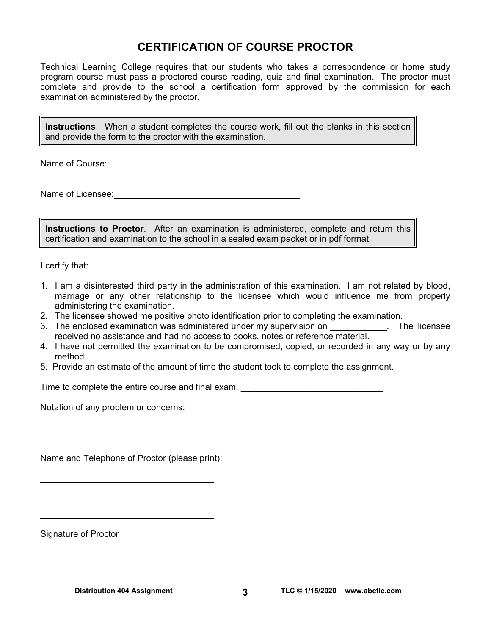## **CERTIFICATION OF COURSE PROCTOR**

Technical Learning College requires that our students who takes a correspondence or home study program course must pass a proctored course reading, quiz and final examination. The proctor must complete and provide to the school a certification form approved by the commission for each examination administered by the proctor.

**Instructions**. When a student completes the course work, fill out the blanks in this section and provide the form to the proctor with the examination.

Name of Course: **Name of Course:** 

Name of Licensee:

**Instructions to Proctor**. After an examination is administered, complete and return this certification and examination to the school in a sealed exam packet or in pdf format.

I certify that:

- 1. I am a disinterested third party in the administration of this examination. I am not related by blood, marriage or any other relationship to the licensee which would influence me from properly administering the examination.
- 2. The licensee showed me positive photo identification prior to completing the examination.
- 3. The enclosed examination was administered under my supervision on \_\_\_\_\_\_\_\_\_\_\_. The licensee received no assistance and had no access to books, notes or reference material.
- 4. I have not permitted the examination to be compromised, copied, or recorded in any way or by any method.
- 5. Provide an estimate of the amount of time the student took to complete the assignment.

Time to complete the entire course and final exam.

Notation of any problem or concerns:

Name and Telephone of Proctor (please print):

Signature of Proctor

 $\overline{a}$ 

 $\overline{a}$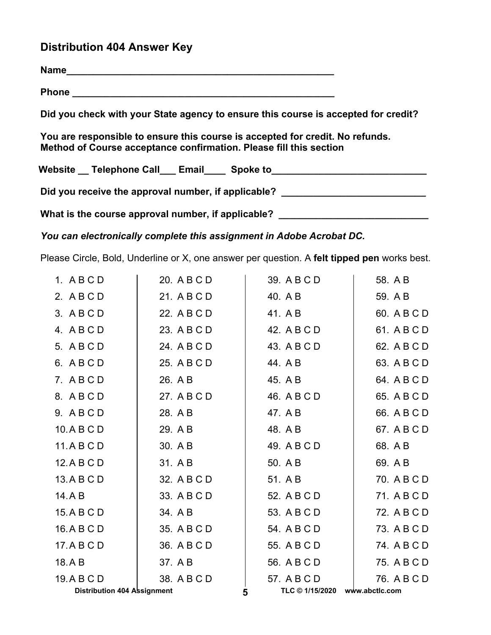## **Distribution 404 Answer Key**

| Phone <u>___________________________________</u>                                                                                                    |
|-----------------------------------------------------------------------------------------------------------------------------------------------------|
| Did you check with your State agency to ensure this course is accepted for credit?                                                                  |
| You are responsible to ensure this course is accepted for credit. No refunds.<br>Method of Course acceptance confirmation. Please fill this section |
| Website Telephone Call Email Spoke to Charles Communications and Charles Contracts                                                                  |
| Did you receive the approval number, if applicable?                                                                                                 |

What is the course approval number, if applicable? \_\_\_\_\_\_\_\_\_\_\_\_\_\_\_\_\_\_\_\_\_\_\_\_\_\_\_\_\_

*You can electronically complete this assignment in Adobe Acrobat DC.* 

Please Circle, Bold, Underline or X, one answer per question. A **felt tipped pen** works best.

| 1. ABCD                            | 20. A B C D | 39. A B C D     | 58. A B        |
|------------------------------------|-------------|-----------------|----------------|
| 2. ABCD                            | 21. A B C D | 40. A B         | 59. A B        |
| 3. ABCD                            | 22. A B C D | 41. A B         | 60. A B C D    |
| 4. ABCD                            | 23. A B C D | 42. A B C D     | 61. A B C D    |
| 5. A B C D                         | 24. A B C D | 43. A B C D     | 62. A B C D    |
| 6. ABCD                            | 25. A B C D | 44. A B         | 63. A B C D    |
| 7. ABCD                            | 26. A B     | 45. A B         | 64. A B C D    |
| 8. ABCD                            | 27. A B C D | 46. A B C D     | 65. A B C D    |
| 9. ABCD                            | 28. A B     | 47. A B         | 66. A B C D    |
| 10.ABCD                            | 29. A B     | 48. A B         | 67. A B C D    |
| 11.ABCD                            | 30. A B     | 49. A B C D     | 68. A B        |
| 12.A B C D                         | 31. A B     | 50. A B         | 69. A B        |
| 13.ABCD                            | 32. A B C D | 51. A B         | 70. A B C D    |
| 14.AB                              | 33. A B C D | 52. A B C D     | 71. A B C D    |
| 15.ABCD                            | 34. A B     | 53. A B C D     | 72. A B C D    |
| 16.A B C D                         | 35. A B C D | 54. A B C D     | 73. A B C D    |
| 17.ABCD                            | 36. A B C D | 55. A B C D     | 74. A B C D    |
| 18.AB                              | 37. A B     | 56. A B C D     | 75. A B C D    |
| 19.ABCD                            | 38. A B C D | 57. A B C D     | 76. A B C D    |
| <b>Distribution 404 Assignment</b> |             | TLC © 1/15/2020 | www.abctlc.com |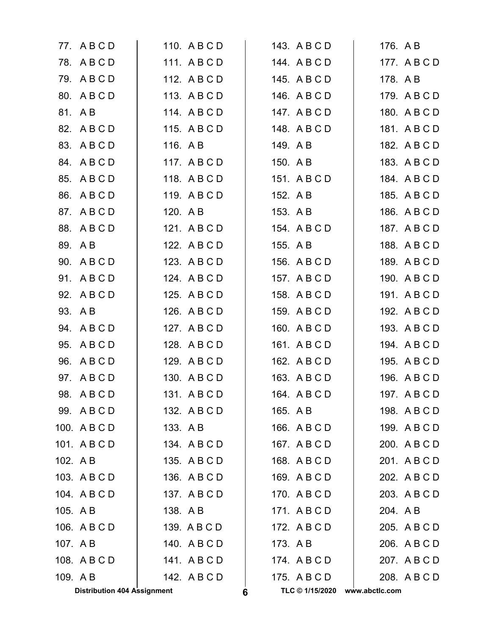| 77. ABCD                           | 110. A B C D | 143. A B C D         | 176. A B       |
|------------------------------------|--------------|----------------------|----------------|
| 78. ABCD                           | 111. ABCD    | 144. ABCD            | 177. ABCD      |
| 79. ABCD                           | 112. A B C D | 145. A B C D         | 178. A B       |
| 80. A B C D                        | 113. A B C D | 146. A B C D         | 179. A B C D   |
| 81. AB                             | 114. A B C D | 147. A B C D         | 180. A B C D   |
| 82. A B C D                        | 115. A B C D | 148. A B C D         | 181. A B C D   |
| 83. A B C D                        | 116. A B     | 149. AB              | 182. A B C D   |
| 84. A B C D                        | 117. ABCD    | 150. A B             | 183. A B C D   |
| 85.<br>ABCD                        | 118. ABCD    | 151. ABCD            | 184. A B C D   |
| 86.<br>ABCD                        | 119. A B C D | 152. A B             | 185. A B C D   |
| 87. ABCD                           | 120. A B     | 153. A B             | 186. A B C D   |
| 88. A B C D                        | 121. A B C D | 154. A B C D         | 187. A B C D   |
| 89. AB                             | 122. A B C D | 155. A B             | 188. A B C D   |
| 90. A B C D                        | 123. A B C D | 156. A B C D         | 189. A B C D   |
| 91. ABCD                           | 124. A B C D | 157. A B C D         | 190. A B C D   |
| 92. A B C D                        | 125. A B C D | 158. A B C D         | 191. A B C D   |
| 93. A B                            | 126. A B C D | 159. A B C D         | 192. A B C D   |
| 94. A B C D                        | 127. A B C D | 160. A B C D         | 193. A B C D   |
| 95.<br>ABCD                        | 128. A B C D | 161. A B C D         | 194. A B C D   |
| 96. A B C D                        | 129. A B C D | 162. A B C D         | 195. A B C D   |
| 97. A B C D                        | 130. A B C D | 163. A B C D         | 196. A B C D   |
| 98. A B C D                        | 131. ABCD    | 164. A B C D         | 197. A B C D   |
| 99. ABCD                           | 132. A B C D | 165. A B             | 198. A B C D   |
| 100. A B C D                       | 133. A B     | 166. A B C D         | 199. A B C D   |
| 101. ABCD                          | 134. A B C D | 167. ABCD            | 200. A B C D   |
| 102. A B                           | 135. A B C D | 168. A B C D         | 201. A B C D   |
| 103. A B C D                       | 136. A B C D | 169. A B C D         | 202. A B C D   |
| 104. A B C D                       | 137. A B C D | 170. A B C D         | 203. A B C D   |
| 105. AB                            | 138. AB      | 171. ABCD            | 204. AB        |
| 106. A B C D                       | 139. A B C D | 172. A B C D         | 205. A B C D   |
| 107. A B                           | 140. A B C D | 173. A B             | 206. A B C D   |
| 108. A B C D                       | 141. ABCD    | 174. ABCD            | 207. A B C D   |
| 109. AB                            | 142. A B C D | 175. A B C D         | 208. A B C D   |
| <b>Distribution 404 Assignment</b> |              | TLC © 1/15/2020<br>6 | www.abctlc.com |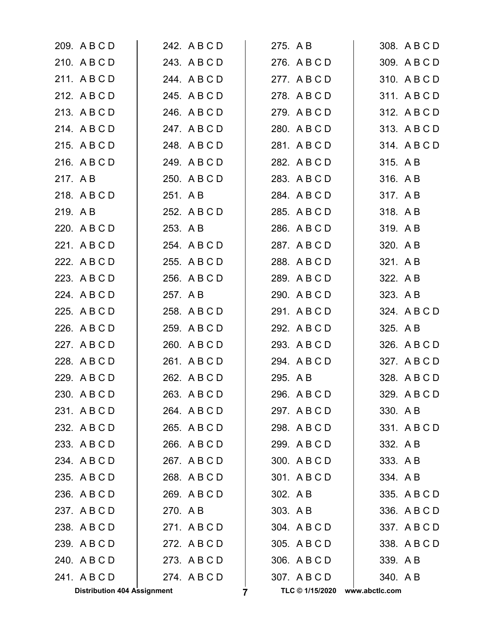| 209. A B C D                       | 242. A B C D | 275. A B             | 308. A B C D   |
|------------------------------------|--------------|----------------------|----------------|
| 210. A B C D                       | 243. A B C D | 276. A B C D         | 309. A B C D   |
| 211. ABCD                          | 244. A B C D | 277. ABCD            | 310. A B C D   |
| 212. A B C D                       | 245. A B C D | 278. A B C D         | 311. A B C D   |
| 213. A B C D                       | 246. A B C D | 279. A B C D         | 312. A B C D   |
| 214. ABCD                          | 247. A B C D | 280. ABCD            | 313. A B C D   |
| 215. A B C D                       | 248. A B C D | 281. ABCD            | 314. ABCD      |
| 216. A B C D                       | 249. A B C D | 282. A B C D         | 315. A B       |
| 217. AB                            | 250. A B C D | 283. A B C D         | 316. AB        |
| 218. A B C D                       | 251. A B     | 284. A B C D         | 317. AB        |
| 219. AB                            | 252. A B C D | 285. A B C D         | 318. AB        |
| 220. A B C D                       | 253. A B     | 286. A B C D         | 319. AB        |
| 221. A B C D                       | 254. ABCD    | 287. A B C D         | 320. AB        |
| 222. A B C D                       | 255. A B C D | 288. A B C D         | 321. A B       |
| 223. A B C D                       | 256. A B C D | 289. A B C D         | 322. A B       |
| 224. A B C D                       | 257. A B     | 290. A B C D         | 323. A B       |
| 225. A B C D                       | 258. A B C D | 291. A B C D         | 324. A B C D   |
| 226. A B C D                       | 259. A B C D | 292. A B C D         | 325. A B       |
| 227. A B C D                       | 260. A B C D | 293. A B C D         | 326. A B C D   |
| 228. A B C D                       | 261. A B C D | 294. A B C D         | 327. A B C D   |
| 229. A B C D                       | 262. A B C D | 295. A B             | 328. A B C D   |
| 230. A B C D                       | 263. A B C D | 296. A B C D         | 329. A B C D   |
| 231. ABCD                          | 264. A B C D | 297. A B C D         | 330. AB        |
| 232. A B C D                       | 265. A B C D | 298. A B C D         | 331. ABCD      |
| 233. A B C D                       | 266. A B C D | 299. A B C D         | 332. A B       |
| 234. ABCD                          | 267. ABCD    | 300. A B C D         | 333. AB        |
| 235. A B C D                       | 268. A B C D | 301. ABCD            | 334. AB        |
| 236. A B C D                       | 269. A B C D | 302. A B             | 335. A B C D   |
| 237. ABCD                          | 270. AB      | 303. A B             | 336. A B C D   |
| 238. A B C D                       | 271. ABCD    | 304. A B C D         | 337. ABCD      |
| 239. A B C D                       | 272. A B C D | 305. A B C D         | 338. A B C D   |
| 240. A B C D                       | 273. A B C D | 306. A B C D         | 339. AB        |
| 241. ABCD                          | 274. A B C D | 307. A B C D         | 340. AB        |
| <b>Distribution 404 Assignment</b> |              | TLC © 1/15/2020<br>7 | www.abctlc.com |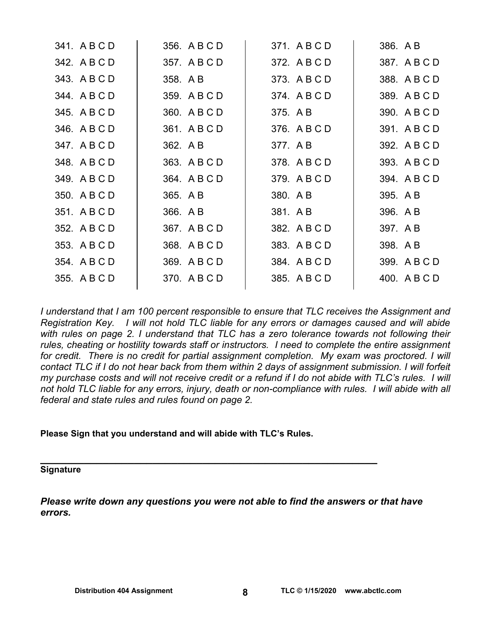| 341. A B C D | 356. A B C D | 371. A B C D | 386. A B     |
|--------------|--------------|--------------|--------------|
| 342. A B C D | 357. A B C D | 372. A B C D | 387. A B C D |
| 343. A B C D | 358. A B     | 373. A B C D | 388. A B C D |
| 344. A B C D | 359. A B C D | 374. A B C D | 389. A B C D |
| 345. A B C D | 360. A B C D | 375. A B     | 390. A B C D |
| 346. A B C D | 361. ABCD    | 376. A B C D | 391. A B C D |
| 347. A B C D | 362. A B     | 377. A B     | 392. A B C D |
| 348. A B C D | 363. A B C D | 378. A B C D | 393. A B C D |
| 349. A B C D | 364. A B C D | 379. A B C D | 394. A B C D |
| 350. A B C D | 365. A B     | 380. A B     | 395. A B     |
| 351. A B C D | 366. A B     | 381. AB      | 396. A B     |
| 352. A B C D | 367. A B C D | 382. A B C D | 397. A B     |
| 353. A B C D | 368. A B C D | 383. A B C D | 398. A B     |
| 354. A B C D | 369. A B C D | 384. A B C D | 399. A B C D |
| 355. A B C D | 370. A B C D | 385. A B C D | 400. A B C D |
|              |              |              |              |

*I understand that I am 100 percent responsible to ensure that TLC receives the Assignment and Registration Key. I will not hold TLC liable for any errors or damages caused and will abide*  with rules on page 2. I understand that TLC has a zero tolerance towards not following their *rules, cheating or hostility towards staff or instructors. I need to complete the entire assignment*  for credit. There is no credit for partial assignment completion. My exam was proctored. I will *contact TLC if I do not hear back from them within 2 days of assignment submission. I will forfeit my purchase costs and will not receive credit or a refund if I do not abide with TLC's rules. I will not hold TLC liable for any errors, injury, death or non-compliance with rules. I will abide with all federal and state rules and rules found on page 2.* 

## **Please Sign that you understand and will abide with TLC's Rules.**

# **\_\_\_\_\_\_\_\_\_\_\_\_\_\_\_\_\_\_\_\_\_\_\_\_\_\_\_\_\_\_\_\_\_\_\_\_\_\_\_\_\_\_\_\_\_\_\_\_\_\_\_\_\_\_ Signature**

*Please write down any questions you were not able to find the answers or that have errors.*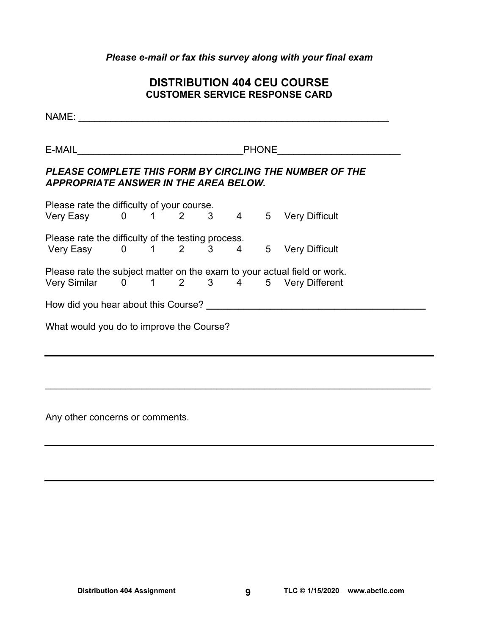## *Please e-mail or fax this survey along with your final exam*

## **DISTRIBUTION 404 CEU COURSE CUSTOMER SERVICE RESPONSE CARD**

NAME: \_\_\_\_\_\_\_\_\_\_\_\_\_\_\_\_\_\_\_\_\_\_\_\_\_\_\_\_\_\_\_\_\_\_\_\_\_\_\_\_\_\_\_\_\_\_\_\_\_\_\_\_\_\_\_\_\_\_  $E\text{-}{\sf{MAL}}$   $\blacksquare$ *PLEASE COMPLETE THIS FORM BY CIRCLING THE NUMBER OF THE APPROPRIATE ANSWER IN THE AREA BELOW.*  Please rate the difficulty of your course. Very Easy 0 1 2 3 4 5 Very Difficult Please rate the difficulty of the testing process. Very Easy 0 1 2 3 4 5 Very Difficult Please rate the subject matter on the exam to your actual field or work. Very Similar 0 1 2 3 4 5 Very Different How did you hear about this Course? **\_\_\_\_\_\_\_\_\_\_\_\_\_\_\_\_\_\_\_\_\_\_\_\_\_\_\_\_\_\_\_\_\_\_\_\_\_\_\_\_\_**  What would you do to improve the Course?

 $\mathcal{L}_\mathcal{L} = \mathcal{L}_\mathcal{L} = \mathcal{L}_\mathcal{L} = \mathcal{L}_\mathcal{L} = \mathcal{L}_\mathcal{L} = \mathcal{L}_\mathcal{L} = \mathcal{L}_\mathcal{L} = \mathcal{L}_\mathcal{L} = \mathcal{L}_\mathcal{L} = \mathcal{L}_\mathcal{L} = \mathcal{L}_\mathcal{L} = \mathcal{L}_\mathcal{L} = \mathcal{L}_\mathcal{L} = \mathcal{L}_\mathcal{L} = \mathcal{L}_\mathcal{L} = \mathcal{L}_\mathcal{L} = \mathcal{L}_\mathcal{L}$ 

Any other concerns or comments.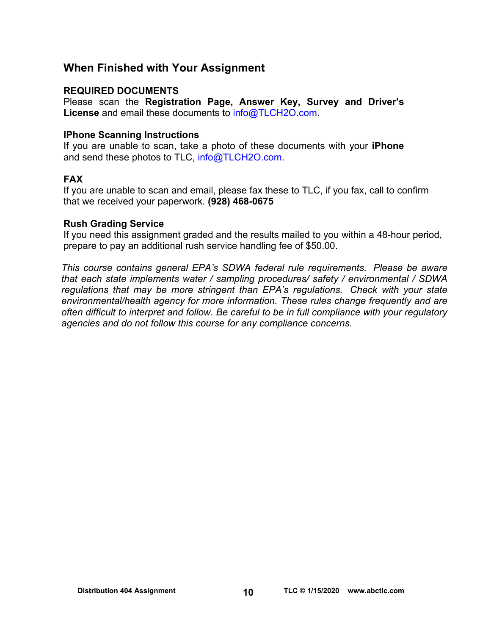## **When Finished with Your Assignment**

## **REQUIRED DOCUMENTS**

Please scan the **Registration Page, Answer Key, Survey and Driver's License** and email these documents to [info@TLCH2O.com.](mailto:info@TLCH2O.com) 

## **IPhone Scanning Instructions**

If you are unable to scan, take a photo of these documents with your **iPhone** and send these photos to TLC, info@TLCH2O.com.

## **FAX**

If you are unable to scan and email, please fax these to TLC, if you fax, call to confirm that we received your paperwork. **(928) 468-0675** 

## **Rush Grading Service**

If you need this assignment graded and the results mailed to you within a 48-hour period, prepare to pay an additional rush service handling fee of \$50.00.

*This course contains general EPA's SDWA federal rule requirements. Please be aware that each state implements water / sampling procedures/ safety / environmental / SDWA regulations that may be more stringent than EPA's regulations. Check with your state environmental/health agency for more information. These rules change frequently and are often difficult to interpret and follow. Be careful to be in full compliance with your regulatory agencies and do not follow this course for any compliance concerns.*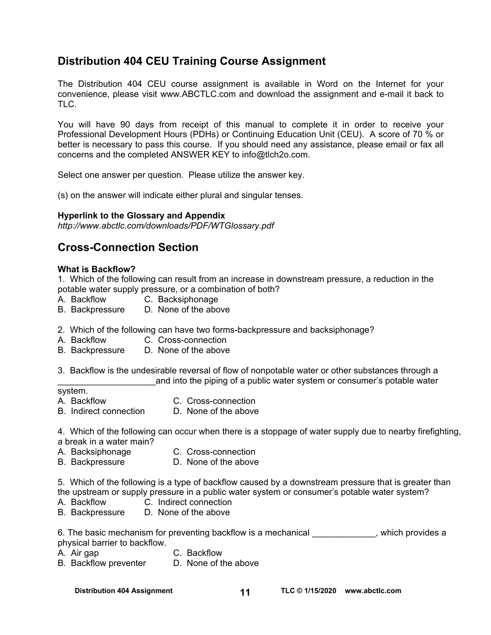## **Distribution 404 CEU Training Course Assignment**

The Distribution 404 CEU course assignment is available in Word on the Internet for your convenience, please visit [www.ABCTLC.com an](http://www.ABCTLC.com)d download the assignment and e-mail it back to TLC.

You will have 90 days from receipt of this manual to complete it in order to receive your Professional Development Hours (PDHs) or Continuing Education Unit (CEU). A score of 70 % or better is necessary to pass this course. If you should need any assistance, please email or fax all concerns and the completed ANSWER KEY to [info@tlch2o.com.](mailto:info@tlch2o.com) 

Select one answer per question. Please utilize the answer key.

(s) on the answer will indicate either plural and singular tenses.

## **Hyperlink to the Glossary and Appendix**

*<http://www.abctlc.com/downloads/PDF/WTGlossary.pdf>*

## **Cross-Connection Section**

#### **What is Backflow?**

1. Which of the following can result from an increase in downstream pressure, a reduction in the potable water supply pressure, or a combination of both?

- A. Backflow C. Backsiphonage
- B. Backpressure D. None of the above
- 2. Which of the following can have two forms-backpressure and backsiphonage?
- A. Backflow C. Cross-connection
- B. Backpressure D. None of the above
- 3. Backflow is the undesirable reversal of flow of nonpotable water or other substances through a and into the piping of a public water system or consumer's potable water

#### system.

- 
- A. Backflow C. Cross-connection B. Indirect connection D. None of the above

4. Which of the following can occur when there is a stoppage of water supply due to nearby firefighting,

- a break in a water main?
- A. Backsiphonage C. Cross-connection
- B. Backpressure D. None of the above

5. Which of the following is a type of backflow caused by a downstream pressure that is greater than the upstream or supply pressure in a public water system or consumer's potable water system?

- A. Backflow C. Indirect connection
- B. Backpressure D. None of the above

6. The basic mechanism for preventing backflow is a mechanical example as which provides a physical barrier to backflow.

- A. Air gap C. Backflow
- B. Backflow preventer D. None of the above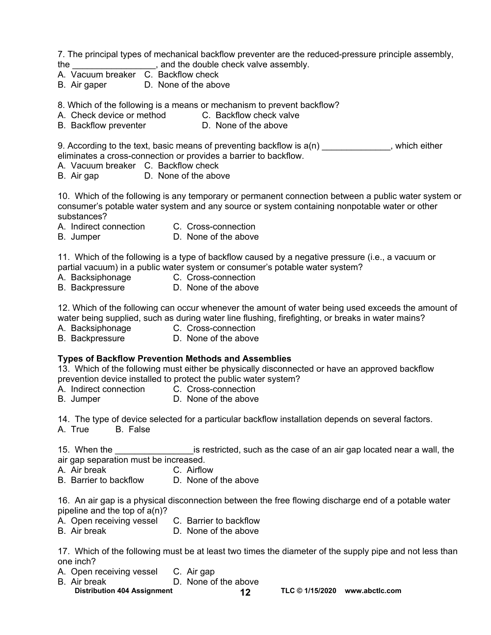7. The principal types of mechanical backflow preventer are the reduced-pressure principle assembly, the the couple check valve assembly.

- A. Vacuum breaker C. Backflow check
- B. Air gaper D. None of the above

8. Which of the following is a means or mechanism to prevent backflow?

- A. Check device or method C. Backflow check valve
- B. Backflow preventer **D.** None of the above

9. According to the text, basic means of preventing backflow is  $a(n)$ , which either eliminates a cross-connection or provides a barrier to backflow.

- A. Vacuum breaker C. Backflow check
- B. Air gap D. None of the above

10. Which of the following is any temporary or permanent connection between a public water system or consumer's potable water system and any source or system containing nonpotable water or other substances?

- A. Indirect connection C. Cross-connection
- B. Jumper D. None of the above

11. Which of the following is a type of backflow caused by a negative pressure (i.e., a vacuum or partial vacuum) in a public water system or consumer's potable water system?

- A. Backsiphonage C. Cross-connection
- B. Backpressure D. None of the above

12. Which of the following can occur whenever the amount of water being used exceeds the amount of water being supplied, such as during water line flushing, firefighting, or breaks in water mains?

- A. Backsiphonage **C. Cross-connection**
- B. Backpressure D. None of the above

## **Types of Backflow Prevention Methods and Assemblies**

13. Which of the following must either be physically disconnected or have an approved backflow prevention device installed to protect the public water system?

- A. Indirect connection C. Cross-connection
- B. Jumper D. None of the above

14. The type of device selected for a particular backflow installation depends on several factors.

A. True B. False

15. When the **the superfield is restricted, such as the case of an air gap located near a wall, the** air gap separation must be increased.

- A. Air break C. Airflow
- B. Barrier to backflow D. None of the above

16. An air gap is a physical disconnection between the free flowing discharge end of a potable water pipeline and the top of a(n)?

- A. Open receiving vessel C. Barrier to backflow
- B. Air break D. None of the above

17. Which of the following must be at least two times the diameter of the supply pipe and not less than one inch?

- A. Open receiving vessel C. Air gap
- B. Air break D. None of the above
- Distribution 404 Assignment **12** 12 TLC © 1/15/2020 www.abctlc.com
	-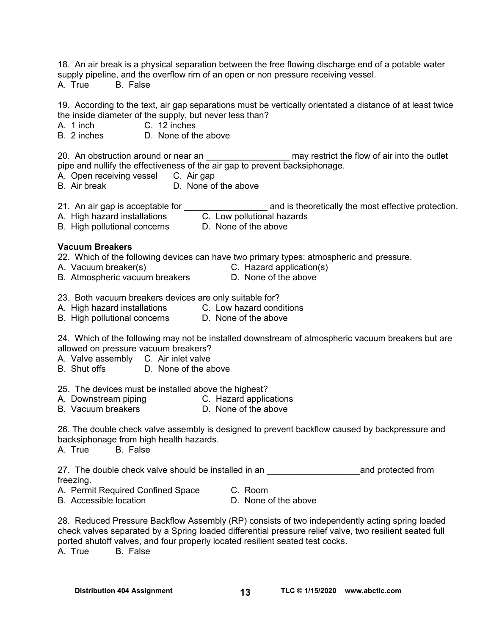18. An air break is a physical separation between the free flowing discharge end of a potable water supply pipeline, and the overflow rim of an open or non pressure receiving vessel.

A. True B. False

19. According to the text, air gap separations must be vertically orientated a distance of at least twice the inside diameter of the supply, but never less than?

A. 1 inch C. 12 inches

B. 2 inches D. None of the above

20. An obstruction around or near an \_\_\_\_\_\_\_\_\_\_\_\_\_\_\_\_\_\_\_\_ may restrict the flow of air into the outlet pipe and nullify the effectiveness of the air gap to prevent backsiphonage.

- A. Open receiving vessel C. Air gap
- B. Air break D. None of the above

21. An air gap is acceptable for \_\_\_\_\_\_\_\_\_\_\_\_\_\_\_\_\_\_\_\_\_\_\_ and is theoretically the most effective protection.

- A. High hazard installations **C. Low pollutional hazards**
- B. High pollutional concerns D. None of the above

#### **Vacuum Breakers**

22. Which of the following devices can have two primary types: atmospheric and pressure. A. Vacuum breaker(s) **C. A. Vacuum breaker(s)**<br>B. Atmospheric vacuum breakers

- 
- B. Atmospheric vacuum breakers
- 
- 23. Both vacuum breakers devices are only suitable for?
- A. High hazard installations C. Low hazard conditions
- B. High pollutional concerns D. None of the above

24. Which of the following may not be installed downstream of atmospheric vacuum breakers but are allowed on pressure vacuum breakers?

- A. Valve assembly C. Air inlet valve
- B. Shut offs D. None of the above

25. The devices must be installed above the highest?

- A. Downstream piping C. Hazard applications
- B. Vacuum breakers D. None of the above

26. The double check valve assembly is designed to prevent backflow caused by backpressure and backsiphonage from high health hazards.

A. True B. False

27. The double check valve should be installed in an \_\_\_\_\_\_\_\_\_\_\_\_\_\_\_\_\_\_\_\_\_\_\_\_\_\_\_\_\_and protected from freezing.

- A. Permit Required Confined Space C. Room
	-
- B. Accessible location D. None of the above
- 

28. Reduced Pressure Backflow Assembly (RP) consists of two independently acting spring loaded check valves separated by a Spring loaded differential pressure relief valve, two resilient seated full ported shutoff valves, and four properly located resilient seated test cocks. A. True B. False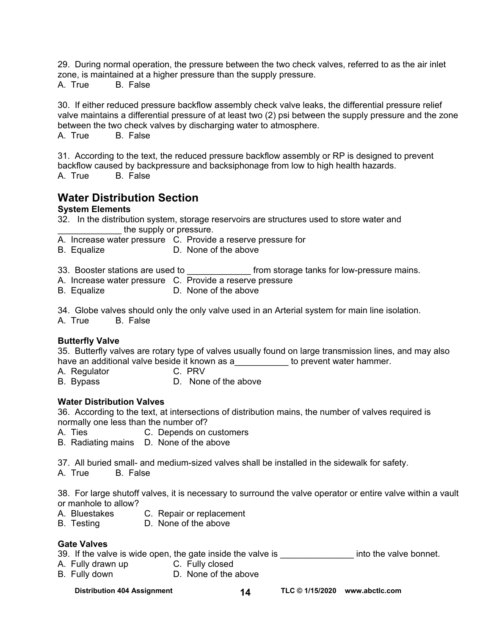29. During normal operation, the pressure between the two check valves, referred to as the air inlet zone, is maintained at a higher pressure than the supply pressure.

A. True B. False

30. If either reduced pressure backflow assembly check valve leaks, the differential pressure relief valve maintains a differential pressure of at least two (2) psi between the supply pressure and the zone between the two check valves by discharging water to atmosphere. A. True B. False

31. According to the text, the reduced pressure backflow assembly or RP is designed to prevent backflow caused by backpressure and backsiphonage from low to high health hazards. A. True B. False

## **Water Distribution Section**

## **System Elements**

- 32. In the distribution system, storage reservoirs are structures used to store water and the supply or pressure.
- A. Increase water pressure C. Provide a reserve pressure for
- B. Equalize D. None of the above
- 33. Booster stations are used to \_\_\_\_\_\_\_\_\_\_\_\_\_\_\_ from storage tanks for low-pressure mains.
- A. Increase water pressure C. Provide a reserve pressure
- B. Equalize **D.** None of the above

34. Globe valves should only the only valve used in an Arterial system for main line isolation.

A. True B. False

## **Butterfly Valve**

35. Butterfly valves are rotary type of valves usually found on large transmission lines, and may also have an additional valve beside it known as a\_\_\_\_\_\_\_\_\_\_\_ to prevent water hammer.

- A. Regulator C. PRV
- B. Bypass D. None of the above

## **Water Distribution Valves**

36. According to the text, at intersections of distribution mains, the number of valves required is normally one less than the number of?

- A. Ties C. Depends on customers
- B. Radiating mains D. None of the above

37. All buried small- and medium-sized valves shall be installed in the sidewalk for safety.

A. True B. False

38. For large shutoff valves, it is necessary to surround the valve operator or entire valve within a vault or manhole to allow?

- A. Bluestakes C. Repair or replacement
- B. Testing D. None of the above

## **Gate Valves**

39. If the valve is wide open, the gate inside the valve is \_\_\_\_\_\_\_\_\_\_\_\_\_\_\_\_\_\_\_\_ into the valve bonnet.

- A. Fully drawn up **C. Fully closed**
- B. Fully down **D. None of the above**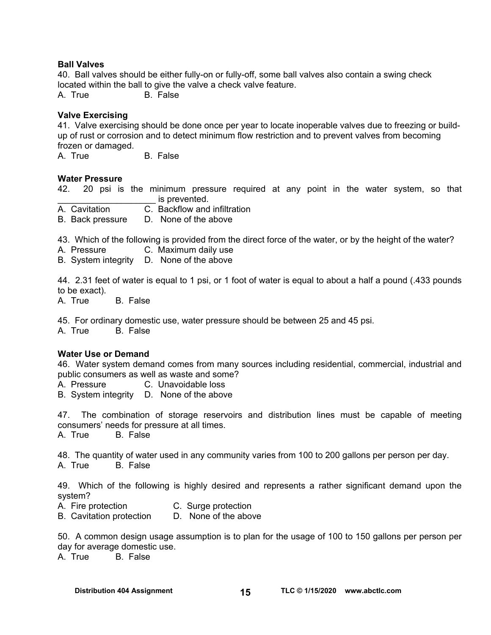#### **Ball Valves**

40. Ball valves should be either fully-on or fully-off, some ball valves also contain a swing check located within the ball to give the valve a check valve feature.

A. True B. False

#### **Valve Exercising**

41. Valve exercising should be done once per year to locate inoperable valves due to freezing or buildup of rust or corrosion and to detect minimum flow restriction and to prevent valves from becoming frozen or damaged.

A. True B. False

#### **Water Pressure**

42. 20 psi is the minimum pressure required at any point in the water system, so that is prevented.

- A. Cavitation C. Backflow and infiltration
- B. Back pressure D. None of the above

43. Which of the following is provided from the direct force of the water, or by the height of the water?

- A. Pressure C. Maximum daily use
- B. System integrity D. None of the above

44. 2.31 feet of water is equal to 1 psi, or 1 foot of water is equal to about a half a pound (.433 pounds to be exact).

A. True B. False

45. For ordinary domestic use, water pressure should be between 25 and 45 psi.

A. True B. False

#### **Water Use or Demand**

46. Water system demand comes from many sources including residential, commercial, industrial and public consumers as well as waste and some?

A. Pressure C. Unavoidable loss

B. System integrity D. None of the above

47. The combination of storage reservoirs and distribution lines must be capable of meeting consumers' needs for pressure at all times.

A. True B. False

48. The quantity of water used in any community varies from 100 to 200 gallons per person per day.

A. True B. False

49. Which of the following is highly desired and represents a rather significant demand upon the system?

- A. Fire protection C. Surge protection
- B. Cavitation protection D. None of the above

50. A common design usage assumption is to plan for the usage of 100 to 150 gallons per person per day for average domestic use.

A. True B. False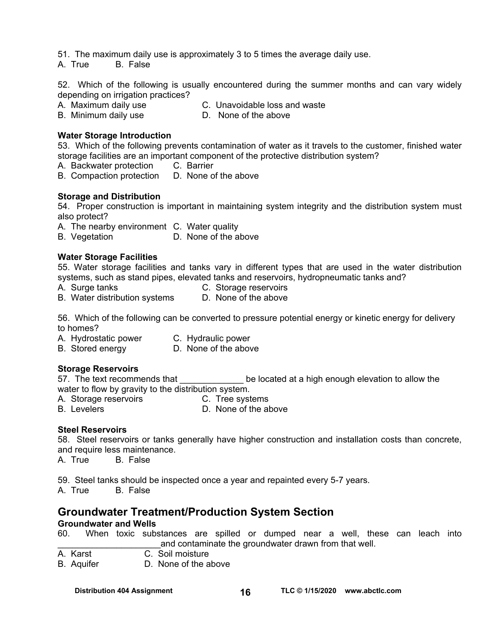51. The maximum daily use is approximately 3 to 5 times the average daily use.

A. True B. False

52. Which of the following is usually encountered during the summer months and can vary widely depending on irrigation practices?

- A. Maximum daily use C. Unavoidable loss and waste
- B. Minimum daily use D. None of the above

## **Water Storage Introduction**

53. Which of the following prevents contamination of water as it travels to the customer, finished water storage facilities are an important component of the protective distribution system?

- A. Backwater protection C. Barrier
- B. Compaction protection D. None of the above

#### **Storage and Distribution**

54. Proper construction is important in maintaining system integrity and the distribution system must also protect?

A. The nearby environment C. Water quality

B. Vegetation **D.** None of the above

#### **Water Storage Facilities**

55. Water storage facilities and tanks vary in different types that are used in the water distribution systems, such as stand pipes, elevated tanks and reservoirs, hydropneumatic tanks and?

A. Surge tanks C. Storage reservoirs

B. Water distribution systems D. None of the above

56. Which of the following can be converted to pressure potential energy or kinetic energy for delivery to homes?

- A. Hydrostatic power C. Hydraulic power
- B. Stored energy D. None of the above

## **Storage Reservoirs**

57. The text recommends that **the set of the located at a high enough elevation to allow the** water to flow by gravity to the distribution system.

- A. Storage reservoirs **C. Tree systems**
- B. Levelers **D.** None of the above

## **Steel Reservoirs**

58. Steel reservoirs or tanks generally have higher construction and installation costs than concrete, and require less maintenance.

A. True B. False

59. Steel tanks should be inspected once a year and repainted every 5-7 years.

A. True B. False

## **Groundwater Treatment/Production System Section**

#### **Groundwater and Wells**

60. When toxic substances are spilled or dumped near a well, these can leach into and contaminate the groundwater drawn from that well.

A. Karst C. Soil moisture

B. Aquifer D. None of the above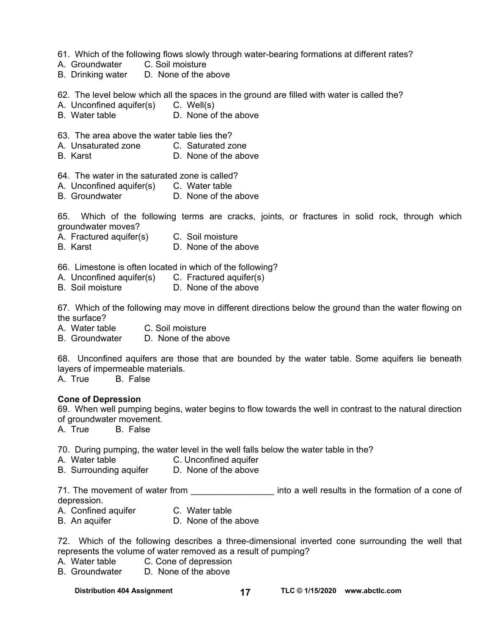- 61. Which of the following flows slowly through water-bearing formations at different rates?
- A. Groundwater C. Soil moisture
- B. Drinking water D. None of the above

62. The level below which all the spaces in the ground are filled with water is called the?

- A. Unconfined aquifer(s) C. Well(s)
- B. Water table D. None of the above
- 63. The area above the water table lies the?
- A. Unsaturated zone C. Saturated zone
- B. Karst D. None of the above
- 64. The water in the saturated zone is called?
- A. Unconfined aquifer(s) C. Water table
- B. Groundwater D. None of the above

65. Which of the following terms are cracks, joints, or fractures in solid rock, through which groundwater moves?

- A. Fractured aquifer(s) C. Soil moisture
- B. Karst D. None of the above

66. Limestone is often located in which of the following?

- A. Unconfined aquifer(s) C. Fractured aquifer(s)
- B. Soil moisture D. None of the above

67. Which of the following may move in different directions below the ground than the water flowing on the surface?

A. Water table C. Soil moisture

B. Groundwater D. None of the above

68. Unconfined aquifers are those that are bounded by the water table. Some aquifers lie beneath layers of impermeable materials.

A. True B. False

#### **Cone of Depression**

69. When well pumping begins, water begins to flow towards the well in contrast to the natural direction of groundwater movement.

A. True B. False

70. During pumping, the water level in the well falls below the water table in the?

- A. Water table C. Unconfined aquifer
- B. Surrounding aquifer D. None of the above

71. The movement of water from \_\_\_\_\_\_\_\_\_\_\_\_\_\_\_\_\_\_\_\_ into a well results in the formation of a cone of depression.

- A. Confined aquifer **C. Water table**
- B. An aquifer **D.** None of the above

72. Which of the following describes a three-dimensional inverted cone surrounding the well that represents the volume of water removed as a result of pumping?

- A. Water table C. Cone of depression
- B. Groundwater D. None of the above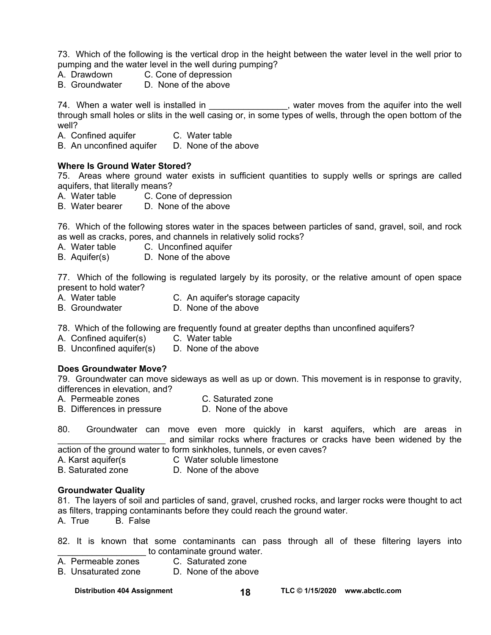73. Which of the following is the vertical drop in the height between the water level in the well prior to pumping and the water level in the well during pumping?

- A. Drawdown C. Cone of depression
- B. Groundwater D. None of the above

74. When a water well is installed in \_\_\_\_\_\_\_\_\_\_\_\_\_\_\_, water moves from the aquifer into the well through small holes or slits in the well casing or, in some types of wells, through the open bottom of the well?

- A. Confined aquifer C. Water table<br>B. An unconfined aquifer D. None of the above
- B. An unconfined aquifer

#### **Where Is Ground Water Stored?**

75. Areas where ground water exists in sufficient quantities to supply wells or springs are called aquifers, that literally means?

- A. Water table C. Cone of depression
- B. Water bearer D. None of the above

76. Which of the following stores water in the spaces between particles of sand, gravel, soil, and rock as well as cracks, pores, and channels in relatively solid rocks?

- A. Water table C. Unconfined aquifer
- B. Aquifer(s) D. None of the above

77. Which of the following is regulated largely by its porosity, or the relative amount of open space present to hold water?

- A. Water table C. An aquifer's storage capacity
- B. Groundwater D. None of the above

78. Which of the following are frequently found at greater depths than unconfined aquifers?

- A. Confined aquifer(s) C. Water table
- B. Unconfined aquifer(s) D. None of the above

#### **Does Groundwater Move?**

79. Groundwater can move sideways as well as up or down. This movement is in response to gravity, differences in elevation, and?

- A. Permeable zones C. Saturated zone
- B. Differences in pressure D. None of the above

80. Groundwater can move even more quickly in karst aquifers, which are areas in and similar rocks where fractures or cracks have been widened by the

- action of the ground water to form sinkholes, tunnels, or even caves?
- A. Karst aquifer(s C Water soluble limestone
- B. Saturated zone D. None of the above

#### **Groundwater Quality**

81. The layers of soil and particles of sand, gravel, crushed rocks, and larger rocks were thought to act as filters, trapping contaminants before they could reach the ground water.

A. True B. False

- 82. It is known that some contaminants can pass through all of these filtering layers into to contaminate ground water.
- A. Permeable zones C. Saturated zone
- B. Unsaturated zone D. None of the above

Distribution 404 Assignment 18 18 TLC © 1/15/2020 www.abctlc.com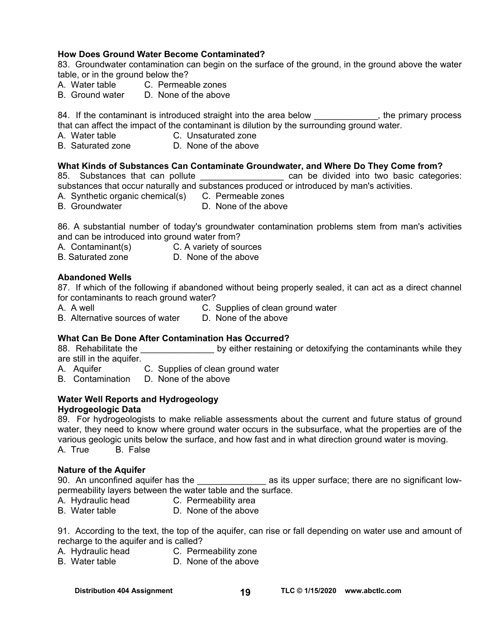## **How Does Ground Water Become Contaminated?**

83. Groundwater contamination can begin on the surface of the ground, in the ground above the water table, or in the ground below the?

- A. Water table C. Permeable zones
- B. Ground water D. None of the above

84. If the contaminant is introduced straight into the area below \_\_\_\_\_\_\_\_\_\_\_\_, the primary process that can affect the impact of the contaminant is dilution by the surrounding ground water.

- A. Water table **C. Unsaturated zone**<br> **B.** Saturated zone **C.** D. None of the above
- D. None of the above

#### **What Kinds of Substances Can Contaminate Groundwater, and Where Do They Come from?**

85. Substances that can pollute **Example 2018** can be divided into two basic categories: substances that occur naturally and substances produced or introduced by man's activities.

- A. Synthetic organic chemical(s) C. Permeable zones
- B. Groundwater **D. None of the above**

86. A substantial number of today's groundwater contamination problems stem from man's activities and can be introduced into ground water from?

- A. Contaminant(s) C. A variety of sources
- B. Saturated zone **D.** None of the above

#### **Abandoned Wells**

87. If which of the following if abandoned without being properly sealed, it can act as a direct channel for contaminants to reach ground water?

A. A well C. Supplies of clean ground water

B. Alternative sources of water D. None of the above

#### **What Can Be Done After Contamination Has Occurred?**

88. Rehabilitate the **Example 30 by either restaining or detoxifying the contaminants while they** are still in the aquifer.

- A. Aquifer C. Supplies of clean ground water
- B. Contamination D. None of the above

## **Water Well Reports and Hydrogeology**

#### **Hydrogeologic Data**

89. For hydrogeologists to make reliable assessments about the current and future status of ground water, they need to know where ground water occurs in the subsurface, what the properties are of the various geologic units below the surface, and how fast and in what direction ground water is moving. A. True B. False

#### **Nature of the Aquifer**

90. An unconfined aquifer has the entity as its upper surface; there are no significant lowpermeability layers between the water table and the surface.

- A. Hydraulic head C. Permeability area
- B. Water table **D.** None of the above

91. According to the text, the top of the aquifer, can rise or fall depending on water use and amount of recharge to the aquifer and is called?

- A. Hydraulic head C. Permeability zone
- B. Water table **D.** None of the above

Distribution 404 Assignment 19 19 TLC © 1/15/2020 www.abctlc.com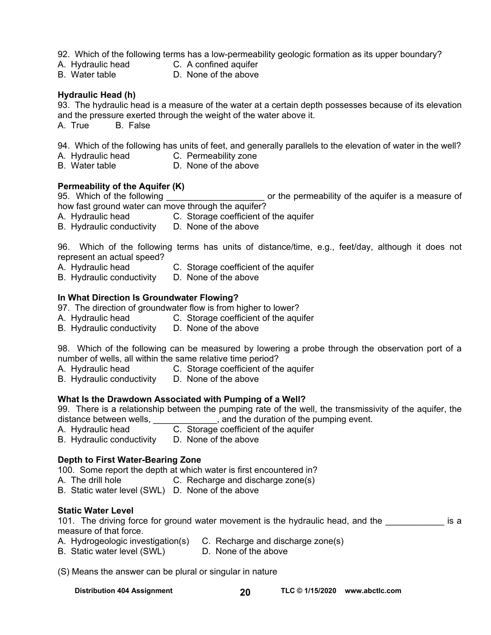92. Which of the following terms has a low-permeability geologic formation as its upper boundary?

- A. Hydraulic head C. A confined aquifer
- B. Water table **D.** None of the above

## **Hydraulic Head (h)**

93. The hydraulic head is a measure of the water at a certain depth possesses because of its elevation and the pressure exerted through the weight of the water above it.

A. True B. False

94. Which of the following has units of feet, and generally parallels to the elevation of water in the well?

- A. Hydraulic head C. Permeability zone
- B. Water table **D.** None of the above

## **Permeability of the Aquifer (K)**

95. Which of the following example the permeability of the aquifer is a measure of

how fast ground water can move through the aquifer?

- A. Hydraulic head C. Storage coefficient of the aquifer
- B. Hydraulic conductivity D. None of the above

96. Which of the following terms has units of distance/time, e.g., feet/day, although it does not represent an actual speed?

- A. Hydraulic head C. Storage coefficient of the aquifer
- B. Hydraulic conductivity D. None of the above

## **In What Direction Is Groundwater Flowing?**

97. The direction of groundwater flow is from higher to lower?

- A. Hydraulic head C. Storage coefficient of the aquifer
- B. Hydraulic conductivity D. None of the above

98. Which of the following can be measured by lowering a probe through the observation port of a number of wells, all within the same relative time period?

- A. Hydraulic head C. Storage coefficient of the aquifer
- B. Hydraulic conductivity D. None of the above

## **What Is the Drawdown Associated with Pumping of a Well?**

99. There is a relationship between the pumping rate of the well, the transmissivity of the aquifer, the distance between wells, \_\_\_\_\_\_\_\_\_\_\_\_\_, and the duration of the pumping event.

- A. Hydraulic head C. Storage coefficient of the aquifer
- B. Hydraulic conductivity D. None of the above

## **Depth to First Water-Bearing Zone**

100. Some report the depth at which water is first encountered in?

- A. The drill hole **C.** Recharge and discharge zone(s)
- B. Static water level (SWL) D. None of the above

## **Static Water Level**

101. The driving force for ground water movement is the hydraulic head, and the **the solution is a** measure of that force.

- A. Hydrogeologic investigation(s) C. Recharge and discharge zone(s)
- B. Static water level (SWL) D. None of the above
	-

(S) Means the answer can be plural or singular in nature

**Distribution 404 Assignment TLC © 1/15/2020 20 [www.abctlc.com](http://www.abctlc.com)**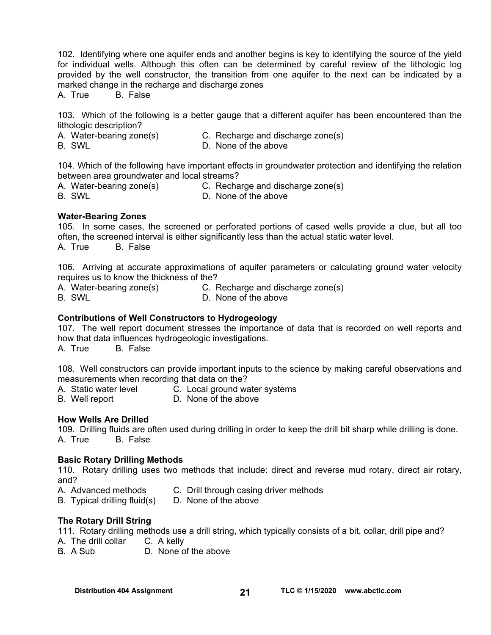102. Identifying where one aquifer ends and another begins is key to identifying the source of the yield for individual wells. Although this often can be determined by careful review of the lithologic log provided by the well constructor, the transition from one aquifer to the next can be indicated by a marked change in the recharge and discharge zones

A. True B. False

103. Which of the following is a better gauge that a different aquifer has been encountered than the lithologic description?<br>A. Water-bearing zone(s)

- A. Water-bearing zone(s) C. Recharge and discharge zone(s)<br>B. SWL B. SWL
	- D. None of the above

104. Which of the following have important effects in groundwater protection and identifying the relation between area groundwater and local streams?

- A. Water-bearing zone(s) C. Recharge and discharge zone(s)
- 
- B. SWL D. None of the above

## **Water-Bearing Zones**

105. In some cases, the screened or perforated portions of cased wells provide a clue, but all too often, the screened interval is either significantly less than the actual static water level. A. True B. False

106. Arriving at accurate approximations of aquifer parameters or calculating ground water velocity requires us to know the thickness of the?

A. Water-bearing zone(s) C. Recharge and discharge zone(s)

B. SWL D. None of the above

## **Contributions of Well Constructors to Hydrogeology**

107. The well report document stresses the importance of data that is recorded on well reports and how that data influences hydrogeologic investigations.

A. True B. False

108. Well constructors can provide important inputs to the science by making careful observations and measurements when recording that data on the?

- A. Static water level C. Local ground water systems
- B. Well report D. None of the above

## **How Wells Are Drilled**

109. Drilling fluids are often used during drilling in order to keep the drill bit sharp while drilling is done. A. True B. False

## **Basic Rotary Drilling Methods**

110. Rotary drilling uses two methods that include: direct and reverse mud rotary, direct air rotary, and?

- A. Advanced methods C. Drill through casing driver methods
- B. Typical drilling fluid(s) D. None of the above

## **The Rotary Drill String**

111. Rotary drilling methods use a drill string, which typically consists of a bit, collar, drill pipe and?

- A. The drill collar C. A kelly
- B. A Sub D. None of the above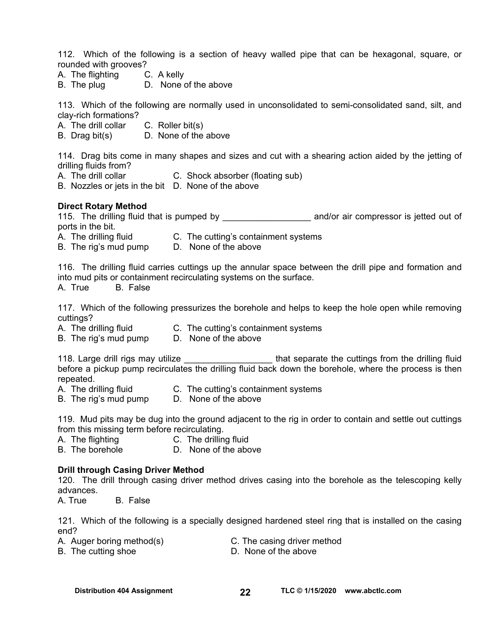112. Which of the following is a section of heavy walled pipe that can be hexagonal, square, or rounded with grooves?

- A. The flighting C. A kelly
- B. The plug D. None of the above

113. Which of the following are normally used in unconsolidated to semi-consolidated sand, silt, and clay-rich formations?

- A. The drill collar C. Roller bit(s)
- B. Drag bit(s) D. None of the above

114. Drag bits come in many shapes and sizes and cut with a shearing action aided by the jetting of drilling fluids from?

- A. The drill collar **C.** Shock absorber (floating sub)
- B. Nozzles or jets in the bit D. None of the above

#### **Direct Rotary Method**

115. The drilling fluid that is pumped by and/or air compressor is jetted out of ports in the bit.

- A. The drilling fluid C. The cutting's containment systems
- B. The rig's mud pump D. None of the above

116. The drilling fluid carries cuttings up the annular space between the drill pipe and formation and into mud pits or containment recirculating systems on the surface. A. True B. False

117. Which of the following pressurizes the borehole and helps to keep the hole open while removing cuttings?

- A. The drilling fluid **C.** The cutting's containment systems
- B. The rig's mud pump D. None of the above

118. Large drill rigs may utilize **the sect of that separate the cuttings from the drilling fluid** before a pickup pump recirculates the drilling fluid back down the borehole, where the process is then repeated.

- A. The drilling fluid C. The cutting's containment systems
- B. The rig's mud pump D. None of the above

119. Mud pits may be dug into the ground adjacent to the rig in order to contain and settle out cuttings from this missing term before recirculating.

- A. The flighting C. The drilling fluid<br>B. The borehole D. None of the abo
- D. None of the above

#### **Drill through Casing Driver Method**

120. The drill through casing driver method drives casing into the borehole as the telescoping kelly advances.

A. True B. False

121. Which of the following is a specially designed hardened steel ring that is installed on the casing end?

- A. Auger boring method(s) C. The casing driver method
	-
- 
- B. The cutting shoe D. None of the above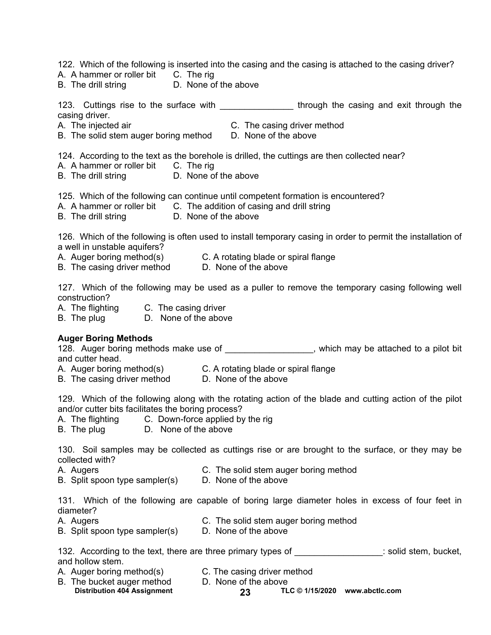123. Cuttings rise to the surface with the subsetimation of through the casing and exit through the casing driver. A. The injected air C. The casing driver method B. The solid stem auger boring method D. None of the above 124. According to the text as the borehole is drilled, the cuttings are then collected near? A. A hammer or roller bit C. The rig B. The drill string **D.** None of the above 125. Which of the following can continue until competent formation is encountered? A. A hammer or roller bit C. The addition of casing and drill string B. The drill string D. None of the above 126. Which of the following is often used to install temporary casing in order to permit the installation of a well in unstable aquifers? A. Auger boring method(s) C. A rotating blade or spiral flange B. The casing driver method D. None of the above 127. Which of the following may be used as a puller to remove the temporary casing following well construction? A. The flighting C. The casing driver B. The plug D. None of the above **Auger Boring Methods**  128. Auger boring methods make use of the same of the state which may be attached to a pilot bit and cutter head. A. Auger boring method(s) C. A rotating blade or spiral flange B. The casing driver method D. None of the above 129. Which of the following along with the rotating action of the blade and cutting action of the pilot and/or cutter bits facilitates the boring process? A. The flighting C. Down-force applied by the rig B. The plug D. None of the above 130. Soil samples may be collected as cuttings rise or are brought to the surface, or they may be collected with? A. Augers C. The solid stem auger boring method B. Split spoon type sampler(s) D. None of the above 131. Which of the following are capable of boring large diameter holes in excess of four feet in diameter? A. Augers C. The solid stem auger boring method

122. Which of the following is inserted into the casing and the casing is attached to the casing driver?

B. Split spoon type sampler(s) D. None of the above

A. A hammer or roller bit C. The rig

B. The drill string D. None of the above

| 132. According to the text, there are three primary types of | : solid stem, bucket, |
|--------------------------------------------------------------|-----------------------|
| and hollow stem.                                             |                       |

- A. Auger boring method(s) C. The casing driver method
- B. The bucket auger method D. None of the above
- - Distribution 404 Assignment 23 TLC © 1/15/2020 www.abctlc.com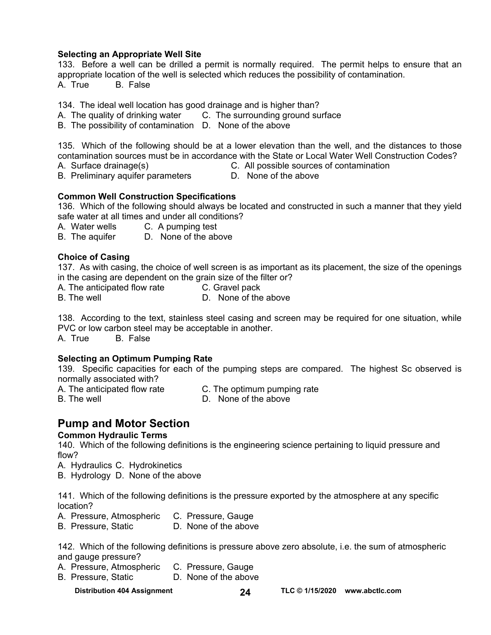## **Selecting an Appropriate Well Site**

133. Before a well can be drilled a permit is normally required. The permit helps to ensure that an appropriate location of the well is selected which reduces the possibility of contamination.

A. True B. False

134. The ideal well location has good drainage and is higher than?

A. The quality of drinking water C. The surrounding ground surface

B. The possibility of contamination D. None of the above

135. Which of the following should be at a lower elevation than the well, and the distances to those contamination sources must be in accordance with the State or Local Water Well Construction Codes?

- A. Surface drainage(s) C. All possible sources of contamination
- B. Preliminary aquifer parameters D. None of the above

## **Common Well Construction Specifications**

136. Which of the following should always be located and constructed in such a manner that they yield safe water at all times and under all conditions?

A. Water wells C. A pumping test

B. The aquifer D. None of the above

## **Choice of Casing**

137. As with casing, the choice of well screen is as important as its placement, the size of the openings in the casing are dependent on the grain size of the filter or?

A. The anticipated flow rate C. Gravel pack

B. The well **B.** The well **B.** D. None of the above

138. According to the text, stainless steel casing and screen may be required for one situation, while PVC or low carbon steel may be acceptable in another.

A. True B. False

## **Selecting an Optimum Pumping Rate**

139. Specific capacities for each of the pumping steps are compared. The highest Sc observed is normally associated with?

A. The anticipated flow rate C. The optimum pumping rate

- 
- B. The well **B.** The well **B.** D. None of the above

## **Pump and Motor Section**

## **Common Hydraulic Terms**

140. Which of the following definitions is the engineering science pertaining to liquid pressure and flow?

A. Hydraulics C. Hydrokinetics

B. Hydrology D. None of the above

141. Which of the following definitions is the pressure exported by the atmosphere at any specific location?

- A. Pressure, Atmospheric C. Pressure, Gauge<br>B. Pressure, Static C. None of the above
- B. Pressure, Static

142. Which of the following definitions is pressure above zero absolute, i.e. the sum of atmospheric and gauge pressure?

- A. Pressure, Atmospheric C. Pressure, Gauge
- B. Pressure, Static D. None of the above
	-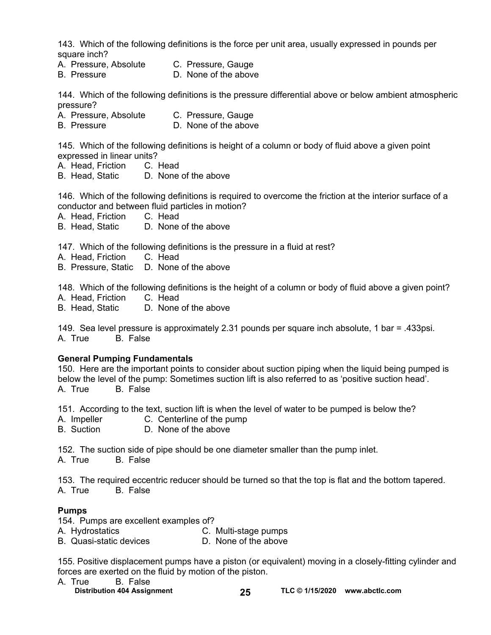143. Which of the following definitions is the force per unit area, usually expressed in pounds per square inch?

- A. Pressure, Absolute C. Pressure, Gauge
- B. Pressure **D. None of the above**

144. Which of the following definitions is the pressure differential above or below ambient atmospheric pressure?

- A. Pressure, Absolute C. Pressure, Gauge
- B. Pressure D. None of the above

145. Which of the following definitions is height of a column or body of fluid above a given point expressed in linear units?

- A. Head, Friction C. Head
- B. Head, Static D. None of the above

146. Which of the following definitions is required to overcome the friction at the interior surface of a conductor and between fluid particles in motion?

- A. Head, Friction C. Head
- B. Head, Static D. None of the above

147. Which of the following definitions is the pressure in a fluid at rest?

- A. Head, Friction C. Head
- B. Pressure, Static D. None of the above

148. Which of the following definitions is the height of a column or body of fluid above a given point?

- A. Head, Friction C. Head
- B. Head, Static D. None of the above

149. Sea level pressure is approximately 2.31 pounds per square inch absolute, 1 bar = .433psi. A. True B. False

#### **General Pumping Fundamentals**

150. Here are the important points to consider about suction piping when the liquid being pumped is below the level of the pump: Sometimes suction lift is also referred to as 'positive suction head'. A. True B. False

151. According to the text, suction lift is when the level of water to be pumped is below the?

- A. Impeller C. Centerline of the pump
- B. Suction D. None of the above

152. The suction side of pipe should be one diameter smaller than the pump inlet. A. True B. False

153. The required eccentric reducer should be turned so that the top is flat and the bottom tapered. A. True B. False

#### **Pumps**

154. Pumps are excellent examples of?

A. Hydrostatics C. Multi-stage pumps B. Quasi-static devices D. None of the above

155. Positive displacement pumps have a piston (or equivalent) moving in a closely-fitting cylinder and forces are exerted on the fluid by motion of the piston.

- A. True B. False
	-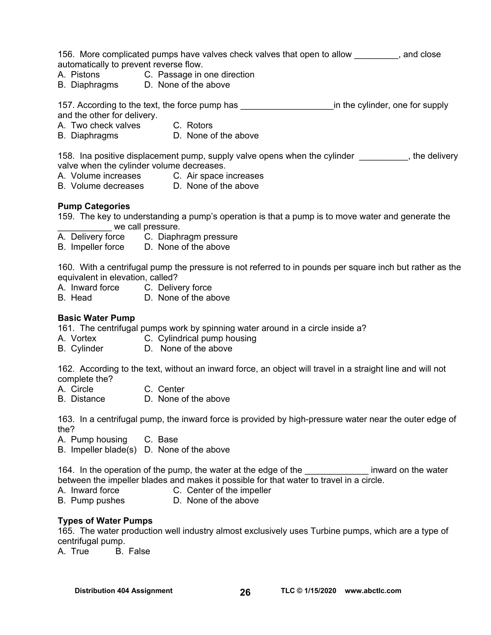156. More complicated pumps have valves check valves that open to allow exclude that open to allow automatically to prevent reverse flow.

- A. Pistons C. Passage in one direction
- B. Diaphragms D. None of the above

157. According to the text, the force pump has \_\_\_\_\_\_\_\_\_\_\_\_\_\_\_\_\_\_\_\_\_\_\_\_\_\_\_\_\_\_\_\_\_in the cylinder, one for supply

and the other for delivery.

- A. Two check valves C. Rotors
- B. Diaphragms D. None of the above

158. Ina positive displacement pump, supply valve opens when the cylinder **will contain the sellent**, the delivery valve when the cylinder volume decreases.

- A. Volume increases C. Air space increases
- B. Volume decreases D. None of the above

#### **Pump Categories**

159. The key to understanding a pump's operation is that a pump is to move water and generate the we call pressure.

- A. Delivery force C. Diaphragm pressure
- B. Impeller force D. None of the above

160. With a centrifugal pump the pressure is not referred to in pounds per square inch but rather as the equivalent in elevation, called?

- A. Inward force C. Delivery force
- B. Head D. None of the above

### **Basic Water Pump**

161. The centrifugal pumps work by spinning water around in a circle inside a?

- A. Vortex **C. Cylindrical pump housing**
- B. Cylinder D. None of the above

162. According to the text, without an inward force, an object will travel in a straight line and will not complete the?

A. Circle C. Center

B. Distance D. None of the above

163. In a centrifugal pump, the inward force is provided by high-pressure water near the outer edge of the?

A. Pump housing C. Base

B. Impeller blade(s) D. None of the above

164. In the operation of the pump, the water at the edge of the **Example 20** inward on the water between the impeller blades and makes it possible for that water to travel in a circle.

- 
- A. Inward force **C.** Center of the impeller
- B. Pump pushes D. None of the above

#### **Types of Water Pumps**

165. The water production well industry almost exclusively uses Turbine pumps, which are a type of centrifugal pump.

A. True B. False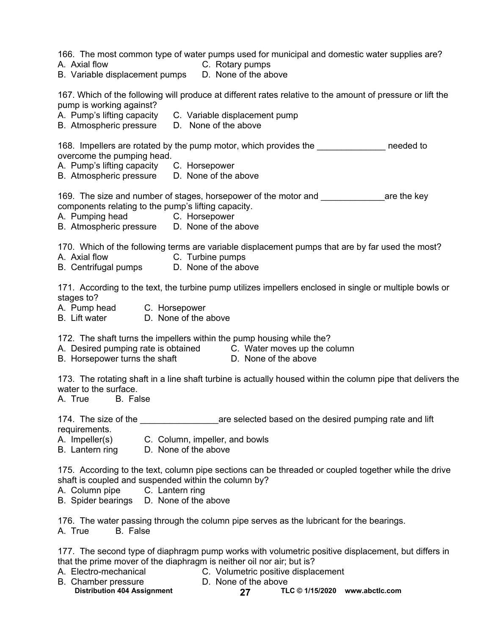166. The most common type of water pumps used for municipal and domestic water supplies are?

- 
- A. Axial flow C. Rotary pumps

B. Variable displacement pumps D. None of the above

167. Which of the following will produce at different rates relative to the amount of pressure or lift the pump is working against?

- A. Pump's lifting capacity C. Variable displacement pump
- B. Atmospheric pressure D. None of the above

168. Impellers are rotated by the pump motor, which provides the meeded to overcome the pumping head.

- A. Pump's lifting capacity C. Horsepower
- B. Atmospheric pressure D. None of the above

169. The size and number of stages, horsepower of the motor and \_\_\_\_\_\_\_\_\_\_\_\_\_are the key components relating to the pump's lifting capacity.

- A. Pumping head C. Horsepower
- B. Atmospheric pressure D. None of the above

170. Which of the following terms are variable displacement pumps that are by far used the most?

- A. Axial flow C. Turbine pumps
- B. Centrifugal pumps D. None of the above

171. According to the text, the turbine pump utilizes impellers enclosed in single or multiple bowls or stages to?

- A. Pump head C. Horsepower
- B. Lift water D. None of the above

172. The shaft turns the impellers within the pump housing while the?

- A. Desired pumping rate is obtained C. Water moves up the column
- B. Horsepower turns the shaft D. None of the above
	-

173. The rotating shaft in a line shaft turbine is actually housed within the column pipe that delivers the water to the surface.

A. True B. False

174. The size of the **the size of the selected based on the desired pumping rate and lift** requirements.

- A. Impeller(s) C. Column, impeller, and bowls
- B. Lantern ring D. None of the above

175. According to the text, column pipe sections can be threaded or coupled together while the drive shaft is coupled and suspended within the column by?

- A. Column pipe C. Lantern ring
- B. Spider bearings D. None of the above

176. The water passing through the column pipe serves as the lubricant for the bearings.

A. True B. False

177. The second type of diaphragm pump works with volumetric positive displacement, but differs in that the prime mover of the diaphragm is neither oil nor air; but is?

- 
- A. Electro-mechanical C. Volumetric positive displacement
- Distribution 404 Assignment 27 TLC © 1/15/2020 www.abctlc.com B. Chamber pressure D. None of the above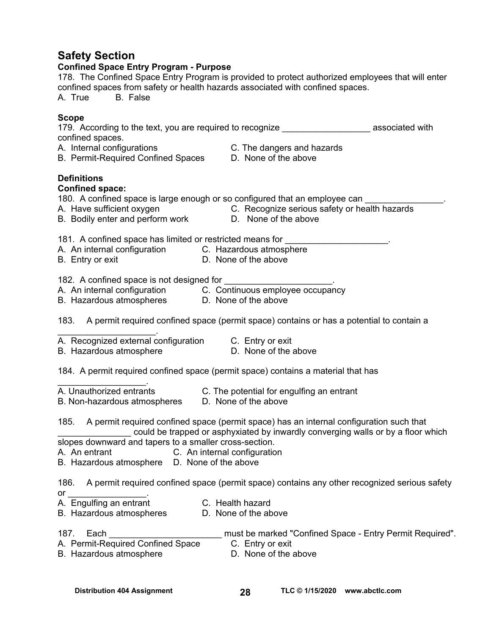## **Safety Section**

| <b>SAIRLY SECTION</b><br><b>Confined Space Entry Program - Purpose</b><br>178. The Confined Space Entry Program is provided to protect authorized employees that will enter<br>confined spaces from safety or health hazards associated with confined spaces.<br>A. True B. False                                                           |  |
|---------------------------------------------------------------------------------------------------------------------------------------------------------------------------------------------------------------------------------------------------------------------------------------------------------------------------------------------|--|
| <b>Scope</b><br>179. According to the text, you are required to recognize ______________________ associated with<br>confined spaces.<br>A. Internal configurations C. The dangers and hazards<br>B. Permit-Required Confined Spaces D. None of the above<br>A. Internal configurations                                                      |  |
| <b>Definitions</b><br><b>Confined space:</b><br>180. A confined space is large enough or so configured that an employee can ___________<br>A. Have sufficient oxygen C. Recognize serious safety or health hazards<br>B. Bodily enter and perform work D. None of the above                                                                 |  |
| 181. A confined space has limited or restricted means for _____________________.<br>A. An internal configuration C. Hazardous atmosphere<br>D. None of the above<br>B. Entry or exit                                                                                                                                                        |  |
| 182. A confined space is not designed for<br>A. An internal configuration<br>B. Hazardous atmospheres<br>D. None of the above                                                                                                                                                                                                               |  |
| 183. A permit required confined space (permit space) contains or has a potential to contain a                                                                                                                                                                                                                                               |  |
| A. Recognized external configuration C. Entry or exit<br>D. None of the above<br>B. Hazardous atmosphere                                                                                                                                                                                                                                    |  |
| 184. A permit required confined space (permit space) contains a material that has                                                                                                                                                                                                                                                           |  |
| A. Unauthorized entrants<br>C. The potential for engulfing an entrant<br>D. None of the above<br>B. Non-hazardous atmospheres                                                                                                                                                                                                               |  |
| 185. A permit required confined space (permit space) has an internal configuration such that<br>could be trapped or asphyxiated by inwardly converging walls or by a floor which<br>slopes downward and tapers to a smaller cross-section.<br>C. An internal configuration<br>A. An entrant<br>B. Hazardous atmosphere D. None of the above |  |
| A permit required confined space (permit space) contains any other recognized serious safety<br>186.<br>or<br>or _______________.<br>A.  Engulfing an entrant<br>C. Health hazard<br>D. None of the above<br>B. Hazardous atmospheres                                                                                                       |  |
| 187.<br>Each<br>must be marked "Confined Space - Entry Permit Required".<br>A. Permit-Required Confined Space<br>C. Entry or exit<br>D. None of the above<br>B. Hazardous atmosphere                                                                                                                                                        |  |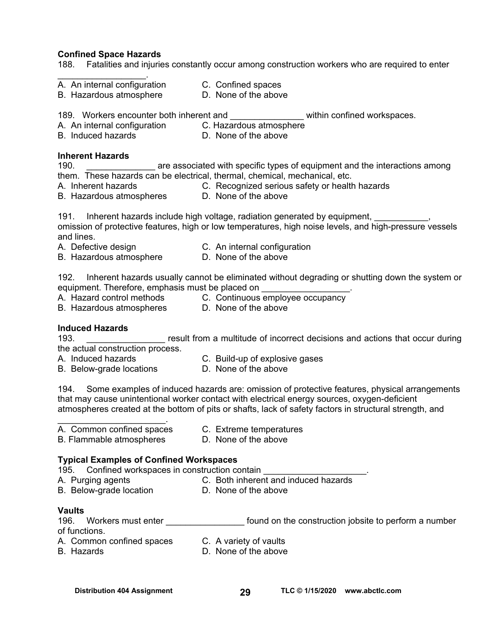#### **Confined Space Hazards**

188. Fatalities and injuries constantly occur among construction workers who are required to enter

- $\mathcal{L}_\text{max}$  and  $\mathcal{L}_\text{max}$  and  $\mathcal{L}_\text{max}$ A. An internal configuration C. Confined spaces
- B. Hazardous atmosphere D. None of the above
- 189. Workers encounter both inherent and **Example 20** within confined workspaces.

- A. An internal configuration C. Hazardous atmosphere
- 
- B. Induced hazards D. None of the above

## **Inherent Hazards**

190. **Example 20 are associated with specific types of equipment and the interactions among** them. These hazards can be electrical, thermal, chemical, mechanical, etc.

- A. Inherent hazards C. Recognized serious safety or health hazards
- B. Hazardous atmospheres D. None of the above

191. Inherent hazards include high voltage, radiation generated by equipment, omission of protective features, high or low temperatures, high noise levels, and high-pressure vessels and lines.

- A. Defective design **C.** An internal configuration
- B. Hazardous atmosphere D. None of the above

192. Inherent hazards usually cannot be eliminated without degrading or shutting down the system or equipment. Therefore, emphasis must be placed on

- A. Hazard control methods C. Continuous employee occupancy
- B. Hazardous atmospheres **D. None of the above**
- 

## **Induced Hazards**

193. **In the Lands Covert Coversity Coversity** result from a multitude of incorrect decisions and actions that occur during the actual construction process.

- 
- A. Induced hazards C. Build-up of explosive gases<br>B. Below-grade locations D. None of the above
- B. Below-grade locations
- 

194. Some examples of induced hazards are: omission of protective features, physical arrangements that may cause unintentional worker contact with electrical energy sources, oxygen-deficient atmospheres created at the bottom of pits or shafts, lack of safety factors in structural strength, and

A. Common confined spaces C. Extreme temperatures

 $\mathcal{L}_\text{max}$  and  $\mathcal{L}_\text{max}$  and  $\mathcal{L}_\text{max}$ 

B. Flammable atmospheres D. None of the above

## **Typical Examples of Confined Workspaces**

195. Confined workspaces in construction contain \_\_\_\_\_\_\_\_\_\_\_\_\_\_\_\_\_\_\_\_\_.

- A. Purging agents **C. Both inherent and induced hazards**
- B. Below-grade location D. None of the above
- **Vaults**

196. Workers must enter **the entity of the construction jobsite to perform a number** of functions. A. Common confined spaces C. A variety of vaults

- 
- B. Hazards D. None of the above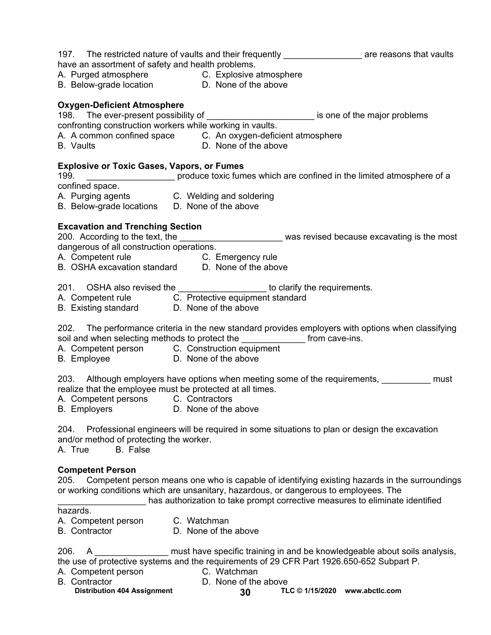## 197. The restricted nature of vaults and their frequently entitled are reasons that vaults

have an assortment of safety and health problems.

A. Purged atmosphere **C. Explosive atmosphere** 

B. Below-grade location **D.** None of the above

## **Oxygen-Deficient Atmosphere**

198. The ever-present possibility of **with all and the major proplems** is one of the major problems

confronting construction workers while working in vaults.

A. A common confined space C. An oxygen-deficient atmosphere<br>B. Vaults C. An oxygen-deficient atmosphere

D. None of the above

## **Explosive or Toxic Gases, Vapors, or Fumes**

199. **\_\_\_\_\_\_\_\_\_\_\_\_\_\_\_\_\_\_** produce toxic fumes which are confined in the limited atmosphere of a confined space.

- A. Purging agents C. Welding and soldering
- B. Below-grade locations D. None of the above

## **Excavation and Trenching Section**

200. According to the text, the \_\_\_\_\_\_\_\_\_\_\_\_\_\_\_\_\_\_\_\_\_\_\_\_\_ was revised because excavating is the most dangerous of all construction operations.

A. Competent rule **C. Emergency rule** 

B. OSHA excavation standard D. None of the above

201. OSHA also revised the \_\_\_\_\_\_\_\_\_\_\_\_\_\_\_\_\_\_\_\_ to clarify the requirements.

- A. Competent rule **C.** Protective equipment standard
- B. Existing standard **D. None of the above**

202. The performance criteria in the new standard provides employers with options when classifying soil and when selecting methods to protect the \_\_\_\_\_\_\_\_\_\_\_\_\_\_ from cave-ins.

- A. Competent person C. Construction equipment
- B. Employee D. None of the above

203. Although employers have options when meeting some of the requirements, \_\_\_\_\_\_\_\_\_\_\_ must realize that the employee must be protected at all times.

- A. Competent persons C. Contractors
- B. Employers **D.** None of the above

204. Professional engineers will be required in some situations to plan or design the excavation and/or method of protecting the worker.<br>A. True B. False

A. True

## **Competent Person**

205. Competent person means one who is capable of identifying existing hazards in the surroundings or working conditions which are unsanitary, hazardous, or dangerous to employees. The has authorization to take prompt corrective measures to eliminate identified

hazards.

- A. Competent person C. Watchman
- B. Contractor D. None of the above

206. A \_\_\_\_\_\_\_\_\_\_\_\_\_\_\_\_ must have specific training in and be knowledgeable about soils analysis, the use of protective systems and the requirements of 29 CFR Part 1926.650-652 Subpart P.

- A. Competent person C. Watchman
- B. Contractor **D. None of the above**
- 
- 
- Distribution 404 Assignment **30 TLC © 1/15/2020** www.abctlc.com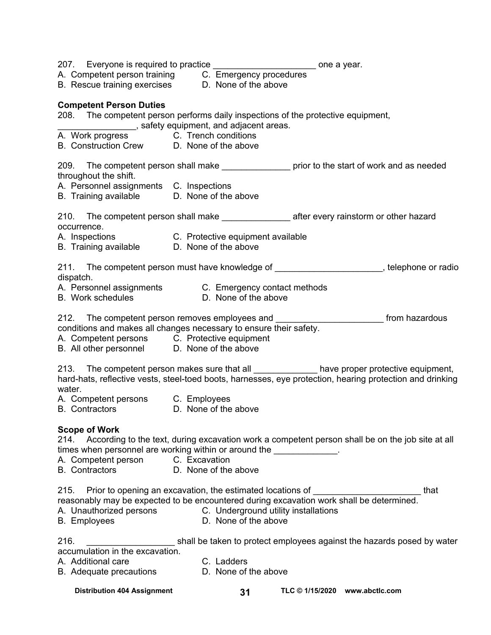|                                              | 207. Everyone is required to practice _________________________ one a year.                                                                                                  |                                                                                                           |
|----------------------------------------------|------------------------------------------------------------------------------------------------------------------------------------------------------------------------------|-----------------------------------------------------------------------------------------------------------|
|                                              |                                                                                                                                                                              |                                                                                                           |
|                                              | A. Competent person training C. Emergency procedures<br>B. Rescue training exercises D. None of the above                                                                    |                                                                                                           |
|                                              |                                                                                                                                                                              |                                                                                                           |
| <b>Competent Person Duties</b>               |                                                                                                                                                                              |                                                                                                           |
|                                              | 208. The competent person performs daily inspections of the protective equipment,                                                                                            |                                                                                                           |
|                                              | safety equipment, and adjacent areas.                                                                                                                                        |                                                                                                           |
| A. Work progress C. Trench conditions        |                                                                                                                                                                              |                                                                                                           |
| B. Construction Crew D. None of the above    |                                                                                                                                                                              |                                                                                                           |
|                                              | 209. The competent person shall make produced prior to the start of work and as needed                                                                                       |                                                                                                           |
| throughout the shift.                        |                                                                                                                                                                              |                                                                                                           |
| A. Personnel assignments C. Inspections      |                                                                                                                                                                              |                                                                                                           |
| B. Training available  D. None of the above  |                                                                                                                                                                              |                                                                                                           |
|                                              |                                                                                                                                                                              |                                                                                                           |
|                                              |                                                                                                                                                                              |                                                                                                           |
| occurrence.                                  |                                                                                                                                                                              |                                                                                                           |
|                                              |                                                                                                                                                                              |                                                                                                           |
| B. Training available D. None of the above   |                                                                                                                                                                              |                                                                                                           |
| dispatch.                                    |                                                                                                                                                                              | 211. The competent person must have knowledge of _______________________, telephone or radio              |
|                                              |                                                                                                                                                                              |                                                                                                           |
|                                              | A. Personnel assignments C. Emergency contact methods<br>B. Work schedules C. None of the above                                                                              |                                                                                                           |
|                                              |                                                                                                                                                                              |                                                                                                           |
|                                              | 212. The competent person removes employees and _____________________________ from hazardous                                                                                 |                                                                                                           |
|                                              | conditions and makes all changes necessary to ensure their safety.                                                                                                           |                                                                                                           |
| A. Competent persons C. Protective equipment |                                                                                                                                                                              |                                                                                                           |
| B. All other personnel D. None of the above  |                                                                                                                                                                              |                                                                                                           |
|                                              |                                                                                                                                                                              |                                                                                                           |
|                                              | 213. The competent person makes sure that all ______________ have proper protective equipment,                                                                               | hard-hats, reflective vests, steel-toed boots, harnesses, eye protection, hearing protection and drinking |
| water.                                       |                                                                                                                                                                              |                                                                                                           |
| A. Competent persons C. Employees            |                                                                                                                                                                              |                                                                                                           |
| B. Contractors D. None of the above          |                                                                                                                                                                              |                                                                                                           |
|                                              |                                                                                                                                                                              |                                                                                                           |
| <b>Scope of Work</b>                         |                                                                                                                                                                              |                                                                                                           |
|                                              | 214. According to the text, during excavation work a competent person shall be on the job site at all                                                                        |                                                                                                           |
|                                              | times when personnel are working within or around the ______________.                                                                                                        |                                                                                                           |
| A. Competent person C. Excavation            |                                                                                                                                                                              |                                                                                                           |
| <b>B.</b> Contractors                        | D. None of the above                                                                                                                                                         |                                                                                                           |
|                                              |                                                                                                                                                                              |                                                                                                           |
|                                              | 215. Prior to opening an excavation, the estimated locations of ________________<br>reasonably may be expected to be encountered during excavation work shall be determined. | that                                                                                                      |
|                                              | A. Unauthorized persons C. Underground utility installations                                                                                                                 |                                                                                                           |
| <b>B.</b> Employees                          | D. None of the above                                                                                                                                                         |                                                                                                           |
|                                              |                                                                                                                                                                              |                                                                                                           |
| 216.                                         |                                                                                                                                                                              | shall be taken to protect employees against the hazards posed by water                                    |
| accumulation in the excavation.              |                                                                                                                                                                              |                                                                                                           |
| A. Additional care                           | C. Ladders                                                                                                                                                                   |                                                                                                           |
| B. Adequate precautions                      | D. None of the above                                                                                                                                                         |                                                                                                           |
| <b>Distribution 404 Assignment</b>           | 31                                                                                                                                                                           | TLC © 1/15/2020 www.abctlc.com                                                                            |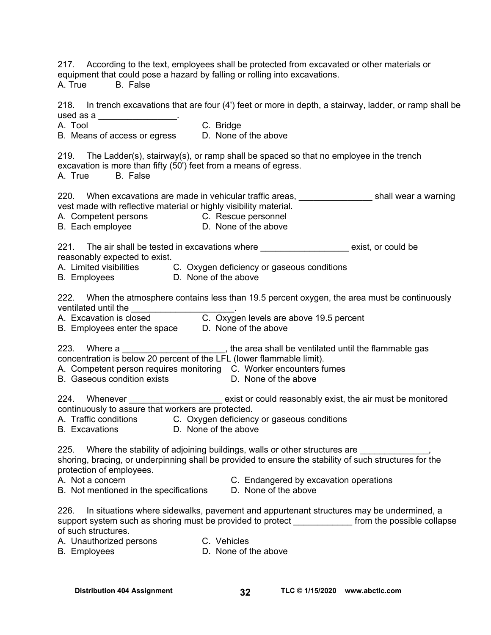217. According to the text, employees shall be protected from excavated or other materials or equipment that could pose a hazard by falling or rolling into excavations.

A. True B. False

218. In trench excavations that are four (4') feet or more in depth, a stairway, ladder, or ramp shall be used as a \_\_\_\_\_\_\_\_\_\_\_\_\_\_\_\_\_\_. A. Tool **C. Bridge** B. Means of access or egress D. None of the above 219. The Ladder(s), stairway(s), or ramp shall be spaced so that no employee in the trench excavation is more than fifty (50') feet from a means of egress. A. True B. False 220. When excavations are made in vehicular traffic areas, \_\_\_\_\_\_\_\_\_\_\_\_\_\_\_\_\_\_\_shall wear a warning vest made with reflective material or highly visibility material. A. Competent persons C. Rescue personnel B. Each employee D. None of the above 221. The air shall be tested in excavations where **the exist** exist, or could be reasonably expected to exist. A. Limited visibilities C. Oxygen deficiency or gaseous conditions B. Employees **D. None of the above** 222. When the atmosphere contains less than 19.5 percent oxygen, the area must be continuously ventilated until the A. Excavation is closed **C.** Oxygen levels are above 19.5 percent B. Employees enter the space D. None of the above 223. Where a \_\_\_\_\_\_\_\_\_\_\_\_\_\_\_\_\_\_\_\_\_, the area shall be ventilated until the flammable gas concentration is below 20 percent of the LFL (lower flammable limit). A. Competent person requires monitoring C. Worker encounters fumes B. Gaseous condition exists **D. None of the above** 224. Whenever \_\_\_\_\_\_\_\_\_\_\_\_\_\_\_\_\_\_\_\_\_\_\_ exist or could reasonably exist, the air must be monitored continuously to assure that workers are protected. A. Traffic conditions C. Oxygen deficiency or gaseous conditions B. Excavations D. None of the above 225. Where the stability of adjoining buildings, walls or other structures are shoring, bracing, or underpinning shall be provided to ensure the stability of such structures for the protection of employees. A. Not a concern **C. Endangered by excavation operations** B. Not mentioned in the specifications D. None of the above 226. In situations where sidewalks, pavement and appurtenant structures may be undermined, a support system such as shoring must be provided to protect from the possible collapse of such structures. A. Unauthorized persons C. Vehicles B. Employees D. None of the above

**Distribution 404 Assignment TLC © 1/15/2020 32 [www.abctlc.com](http://www.abctlc.com)**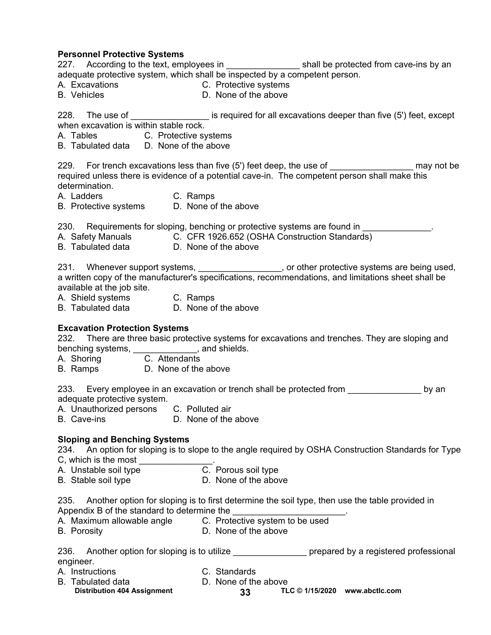**Personnel Protective Systems**  227. According to the text, employees in the shall be protected from cave-ins by an adequate protective system, which shall be inspected by a competent person. A. Excavations C. Protective systems B. Vehicles **D.** None of the above 228. The use of  $\qquad \qquad$  is required for all excavations deeper than five (5') feet, except when excavation is within stable rock. A. Tables C. Protective systems B. Tabulated data D. None of the above 229. For trench excavations less than five (5') feet deep, the use of **the analy may not be** required unless there is evidence of a potential cave-in. The competent person shall make this determination. A. Ladders C. Ramps B. Protective systems D. None of the above 230. Requirements for sloping, benching or protective systems are found in A. Safety Manuals **C.** CFR 1926.652 (OSHA Construction Standards) B. Tabulated data D. None of the above 231. Whenever support systems, 231. Whenever support systems are being used, a written copy of the manufacturer's specifications, recommendations, and limitations sheet shall be available at the job site. A. Shield systems C. Ramps B. Tabulated data D. None of the above **Excavation Protection Systems**  232. There are three basic protective systems for excavations and trenches. They are sloping and benching systems,  $\frac{1}{C}$ , Attendants A. Shoring A. Shoring B. Ramps D. None of the above 233. Every employee in an excavation or trench shall be protected from example by an adequate protective system. A. Unauthorized persons C. Polluted air B. Cave-ins **D. None of the above Sloping and Benching Systems**  234. An option for sloping is to slope to the angle required by OSHA Construction Standards for Type C, which is the most  $\frac{1}{1}$ . C. Porous soil type A. Unstable soil type B. Stable soil type D. None of the above

235. Another option for sloping is to first determine the soil type, then use the table provided in Appendix B of the standard to determine the

A. Maximum allowable angle C. Protective system to be used B. Porosity D. None of the above

| 236.      | Another option for sloping is to utilize | prepared by a registered professional |
|-----------|------------------------------------------|---------------------------------------|
| engineer. |                                          |                                       |

- 
- A. Instructions C. Standards
- B. Tabulated data **D.** None of the above
- -
	- Distribution 404 Assignment 33 TLC © 1/15/2020 www.abctlc.com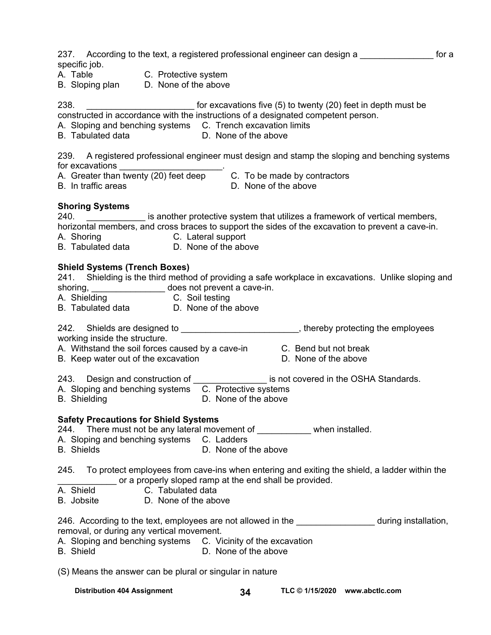| 237. According to the text, a registered professional engineer can design a<br>specific job.<br>A. Table<br>B. Sloping plan  B. C. Protective system<br>D. None of the above                                                                                                                               |
|------------------------------------------------------------------------------------------------------------------------------------------------------------------------------------------------------------------------------------------------------------------------------------------------------------|
| 238.<br>for excavations five (5) to twenty (20) feet in depth must be<br>constructed in accordance with the instructions of a designated competent person.<br>A. Sloping and benching systems C. Trench excavation limits<br><b>B.</b> Tabulated data<br>D. None of the above                              |
| 239. A registered professional engineer must design and stamp the sloping and benching systems<br>B. In traffic areas<br>D. None of the above                                                                                                                                                              |
| <b>Shoring Systems</b><br>240. _______________ is another protective system that utilizes a framework of vertical members,<br>horizontal members, and cross braces to support the sides of the excavation to prevent a cave-in.<br>A. Shoring C. Lateral support<br>B. Tabulated data B. None of the above |
| <b>Shield Systems (Trench Boxes)</b><br>241. Shielding is the third method of providing a safe workplace in excavations. Unlike sloping and<br>shoring, ___________________ does not prevent a cave-in.<br>A. Shielding C. Soil testing<br>B. Tabulated data D. None of the above                          |
| 242. Shields are designed to __________________________, thereby protecting the employees                                                                                                                                                                                                                  |
| working inside the structure.<br>A. Withstand the soil forces caused by a cave-in C. Bend but not break<br>B. Keep water out of the excavation<br>D. None of the above                                                                                                                                     |
| 243. Design and construction of _________________ is not covered in the OSHA Standards.<br>C. Protective systems<br>A. Sloping and benching systems<br>D. None of the above<br><b>B.</b> Shielding                                                                                                         |
| <b>Safety Precautions for Shield Systems</b><br>244. There must not be any lateral movement of when installed.<br>A. Sloping and benching systems C. Ladders<br>D. None of the above<br><b>B.</b> Shields                                                                                                  |
| 245. To protect employees from cave-ins when entering and exiting the shield, a ladder within the<br>or a properly sloped ramp at the end shall be provided.<br>A. Shield<br>C. Tabulated data<br>D. None of the above<br>B. Jobsite                                                                       |
| 246. According to the text, employees are not allowed in the <u>second and soluting</u> installation,<br>removal, or during any vertical movement.<br>A. Sloping and benching systems C. Vicinity of the excavation<br><b>B.</b> Shield<br>D. None of the above                                            |
| (S) Means the answer can be plural or singular in nature                                                                                                                                                                                                                                                   |

Distribution 404 Assignment **34 TLC © 1/15/2020** www.abctlc.com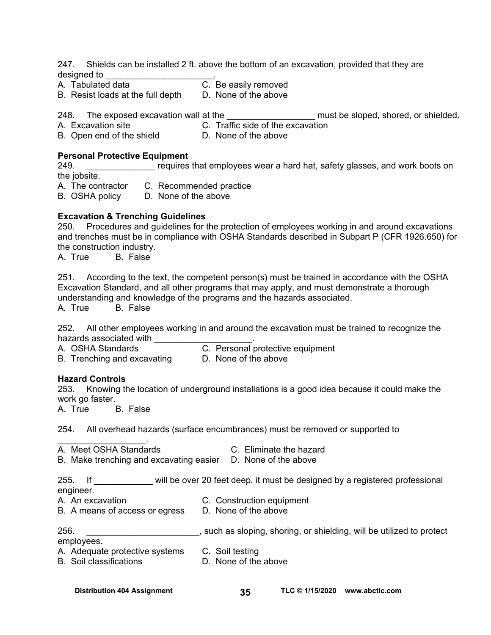247. Shields can be installed 2 ft. above the bottom of an excavation, provided that they are designed to \_\_\_\_\_\_\_\_\_\_\_\_\_\_\_\_\_\_\_\_\_\_.

B. Resist loads at the full depth D. None of the above

A. Tabulated data C. Be easily removed

248. The exposed excavation wall at the the the controller must be sloped, shored, or shielded.

A. Excavation site C. Traffic side of the excavation

B. Open end of the shield D. None of the above

#### **Personal Protective Equipment**

249. **Example 3** requires that employees wear a hard hat, safety glasses, and work boots on the jobsite.

A. The contractor C. Recommended practice

B. OSHA policy D. None of the above

## **Excavation & Trenching Guidelines**

250. Procedures and guidelines for the protection of employees working in and around excavations and trenches must be in compliance with OSHA Standards described in Subpart P (CFR 1926.650) for the construction industry.

A. True B. False

251. According to the text, the competent person(s) must be trained in accordance with the OSHA Excavation Standard, and all other programs that may apply, and must demonstrate a thorough understanding and knowledge of the programs and the hazards associated.

A. True B. False

252. All other employees working in and around the excavation must be trained to recognize the hazards associated with \_\_\_\_\_\_\_\_\_\_\_\_\_<br>A. OSHA Standards \_\_\_\_\_\_\_\_\_\_\_\_\_\_\_C C. Personal protective equipment

- 
- B. Trenching and excavating D. None of the above
- 

## **Hazard Controls**

253. Knowing the location of underground installations is a good idea because it could make the work go faster.

A. True B. False

254. All overhead hazards (surface encumbrances) must be removed or supported to

- \_\_\_\_\_\_\_\_\_\_\_\_\_\_\_\_\_\_. A. Meet OSHA Standards C. Eliminate the hazard
	-
- B. Make trenching and excavating easier D. None of the above

255. If will be over 20 feet deep, it must be designed by a registered professional engineer.

A. An excavation C. Construction equipment

B. A means of access or egress D. None of the above

256. \_\_\_\_\_\_\_\_\_\_\_\_\_\_\_\_\_\_\_\_\_\_\_, such as sloping, shoring, or shielding, will be utilized to protect employees.

- A. Adequate protective systems C. Soil testing
- B. Soil classifications **D.** None of the above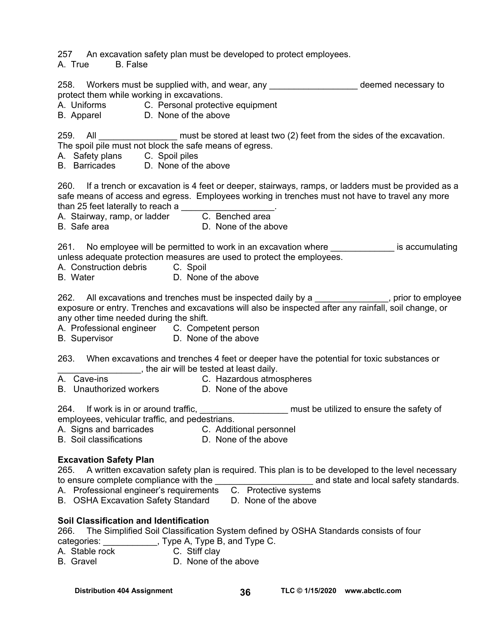257 An excavation safety plan must be developed to protect employees.

A. True B. False

258. Workers must be supplied with, and wear, any **with the summan areas** deemed necessary to protect them while working in excavations.

- A. Uniforms C. Personal protective equipment
- B. Apparel D. None of the above

259. All **All Excavation** must be stored at least two (2) feet from the sides of the excavation. The spoil pile must not block the safe means of egress.

A. Safety plans C. Spoil piles

B. Barricades D. None of the above

260. If a trench or excavation is 4 feet or deeper, stairways, ramps, or ladders must be provided as a safe means of access and egress. Employees working in trenches must not have to travel any more than 25 feet laterally to reach a  $\frac{1}{2}$ 

A. Stairway, ramp, or ladder C. Benched area

B. Safe area **D. None of the above** 

261. No employee will be permitted to work in an excavation where **the enduration** is accumulating unless adequate protection measures are used to protect the employees.

- A. Construction debris C. Spoil
- B. Water D. None of the above

262. All excavations and trenches must be inspected daily by a \_\_\_\_\_\_\_\_\_\_\_\_\_, prior to employee exposure or entry. Trenches and excavations will also be inspected after any rainfall, soil change, or any other time needed during the shift.

- A. Professional engineer C. Competent person
- B. Supervisor D. None of the above

263. When excavations and trenches 4 feet or deeper have the potential for toxic substances or \_\_\_\_\_\_\_\_\_\_\_\_\_\_\_\_\_, the air will be tested at least daily.

- A. Cave-ins **C. Hazardous atmospheres**
- B. Unauthorized workers D. None of the above

264. If work is in or around traffic, <u>entitled and must be utilized</u> to ensure the safety of employees, vehicular traffic, and pedestrians.

- A. Signs and barricades C. Additional personnel
- B. Soil classifications **D. None of the above**

## **Excavation Safety Plan**

265. A written excavation safety plan is required. This plan is to be developed to the level necessary to ensure complete compliance with the the compliant of the standards.

- A. Professional engineer's requirements C. Protective systems
- B. OSHA Excavation Safety Standard D. None of the above

## **Soil Classification and Identification**

266. The Simplified Soil Classification System defined by OSHA Standards consists of four categories:  $\qquad \qquad$ , Type A, Type B, and Type C.

A. Stable rock C. Stiff clay

B. Gravel **D.** None of the above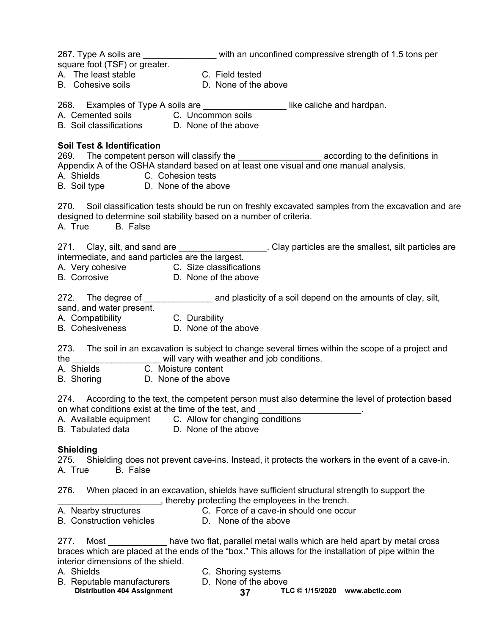| square foot (TSF) or greater.                                                                                                                     | 267. Type A soils are ___________________ with an unconfined compressive strength of 1.5 tons per                                                                                                    |
|---------------------------------------------------------------------------------------------------------------------------------------------------|------------------------------------------------------------------------------------------------------------------------------------------------------------------------------------------------------|
| A. The least stable<br>B. Cohesive soils                                                                                                          | C. Field tested<br>D. None of the above                                                                                                                                                              |
| B. Soil classifications D. None of the above                                                                                                      |                                                                                                                                                                                                      |
| <b>Soil Test &amp; Identification</b><br>A. Shields C. Cohesion tests<br>B. Soil type D. None of the above                                        | 269. The competent person will classify the ________________________ according to the definitions in<br>Appendix A of the OSHA standard based on at least one visual and one manual analysis.        |
| designed to determine soil stability based on a number of criteria.<br>A. True B. False                                                           | 270. Soil classification tests should be run on freshly excavated samples from the excavation and are                                                                                                |
| intermediate, and sand particles are the largest.<br>A. Very cohesive C. Size classifications<br>B. Corrosive D. None of the above                | 271. Clay, silt, and sand are ____________________. Clay particles are the smallest, silt particles are                                                                                              |
| sand, and water present.<br>A. Compatibility C. Durability<br>B. Cohesiveness D. None of the above                                                | 272. The degree of _______________________ and plasticity of a soil depend on the amounts of clay, silt,                                                                                             |
| the<br>A. Shields C. Moisture content<br>B. Shoring D. None of the above                                                                          | 273. The soil in an excavation is subject to change several times within the scope of a project and<br>will vary with weather and job conditions.                                                    |
| on what conditions exist at the time of the test, and ____<br>A. Available equipment C. Allow for changing conditions<br><b>B.</b> Tabulated data | 274. According to the text, the competent person must also determine the level of protection based<br>D. None of the above                                                                           |
| <b>Shielding</b><br>275.<br>A. True<br><b>B.</b> False                                                                                            | Shielding does not prevent cave-ins. Instead, it protects the workers in the event of a cave-in.                                                                                                     |
| 276.                                                                                                                                              | When placed in an excavation, shields have sufficient structural strength to support the<br>thereby protecting the employees in the trench.                                                          |
| A. Nearby structures<br><b>B.</b> Construction vehicles                                                                                           | C. Force of a cave-in should one occur<br>D. None of the above                                                                                                                                       |
| 277.<br>interior dimensions of the shield.                                                                                                        | Most ______________ have two flat, parallel metal walls which are held apart by metal cross<br>braces which are placed at the ends of the "box." This allows for the installation of pipe within the |
| A. Shields<br>B. Reputable manufacturers                                                                                                          | C. Shoring systems<br>D. None of the above                                                                                                                                                           |

**Distribution 404 Assignment TLC © 1/15/2020 37 [www.abctlc.com](http://www.abctlc.com)**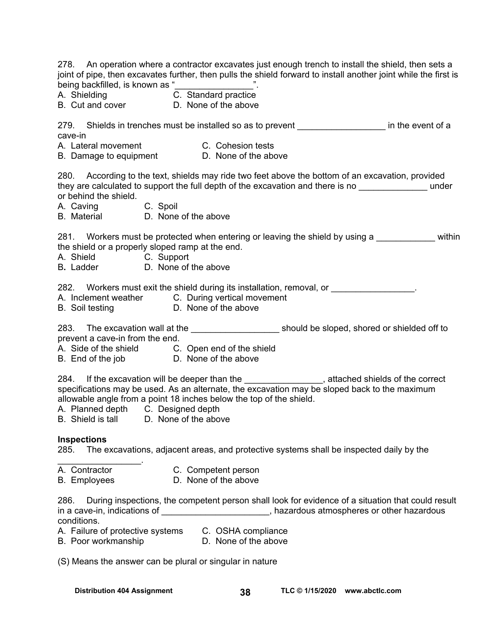278. An operation where a contractor excavates just enough trench to install the shield, then sets a joint of pipe, then excavates further, then pulls the shield forward to install another joint while the first is being backfilled, is known as " A. Shielding C. Standard practice B. Cut and cover **D.** None of the above 279. Shields in trenches must be installed so as to prevent example of a state of a cave-in A. Lateral movement C. Cohesion tests B. Damage to equipment D. None of the above 280. According to the text, shields may ride two feet above the bottom of an excavation, provided they are calculated to support the full depth of the excavation and there is no \_\_\_\_\_\_\_\_\_\_\_\_\_\_\_\_\_ under or behind the shield. A. Caving C. Spoil B. Material D. None of the above 281. Workers must be protected when entering or leaving the shield by using a \_\_\_\_\_\_\_\_\_\_\_\_ within the shield or a properly sloped ramp at the end. A. Shield C. Support B**.** Ladder D. None of the above 282. Workers must exit the shield during its installation, removal, or A. Inclement weather C. During vertical movement B. Soil testing D. None of the above 283. The excavation wall at the \_\_\_\_\_\_\_\_\_\_\_\_\_\_\_\_\_\_\_\_\_\_\_\_ should be sloped, shored or shielded off to prevent a cave-in from the end. A. Side of the shield C. Open end of the shield B. End of the job D. None of the above 284. If the excavation will be deeper than the \_\_\_\_\_\_\_\_\_\_\_\_\_\_\_\_, attached shields of the correct specifications may be used. As an alternate, the excavation may be sloped back to the maximum allowable angle from a point 18 inches below the top of the shield. A. Planned depth C. Designed depth B. Shield is tall D. None of the above **Inspections**  285. The excavations, adjacent areas, and protective systems shall be inspected daily by the  $\mathcal{L}_\text{max}$  . The set of the set of the set of the set of the set of the set of the set of the set of the set of the set of the set of the set of the set of the set of the set of the set of the set of the set of the set A. Contractor C. Competent person B. Employees D. None of the above 286. During inspections, the competent person shall look for evidence of a situation that could result in a cave-in, indications of \_\_\_\_\_\_\_\_\_\_\_\_\_\_\_\_\_\_\_\_\_\_\_, hazardous atmospheres or other hazardous conditions. A. Failure of protective systems C. OSHA compliance B. Poor workmanship D. None of the above

(S) Means the answer can be plural or singular in nature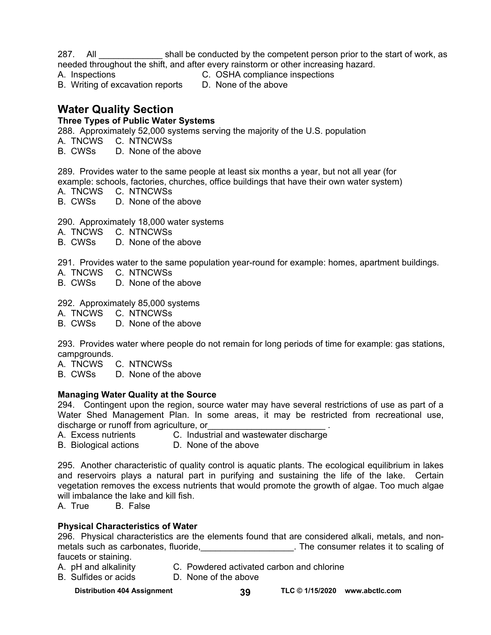287. All shall be conducted by the competent person prior to the start of work, as needed throughout the shift, and after every rainstorm or other increasing hazard.

A. Inspections C. OSHA compliance inspections

B. Writing of excavation reports D. None of the above

## **Water Quality Section**

## **Three Types of Public Water Systems**

288.Approximately 52,000 systems serving the majority of the U.S. population

A. TNCWS C. NTNCWSs

B. CWSs D. None of the above

289. Provides water to the same people at least six months a year, but not all year (for example: schools, factories, churches, office buildings that have their own water system)

A. TNCWS C. NTNCWSs

B. CWSs D. None of the above

290. Approximately 18,000 water systems

- A. TNCWS C. NTNCWSs
- B. CWSs D. None of the above

291. Provides water to the same population year-round for example: homes, apartment buildings.

- A. TNCWS C. NTNCWSs
- B. CWSs D. None of the above

292. Approximately 85,000 systems

A. TNCWS C. NTNCWSs

D. None of the above

293. Provides water where people do not remain for long periods of time for example: gas stations, campgrounds.

A. TNCWS C. NTNCWSs

D. None of the above

## **Managing Water Quality at the Source**

294. Contingent upon the region, source water may have several restrictions of use as part of a Water Shed Management Plan. In some areas, it may be restricted from recreational use, discharge or runoff from agriculture, or

A. Excess nutrients C. Industrial and wastewater discharge

B. Biological actions D. None of the above

295. Another characteristic of quality control is aquatic plants. The ecological equilibrium in lakes and reservoirs plays a natural part in purifying and sustaining the life of the lake. Certain vegetation removes the excess nutrients that would promote the growth of algae. Too much algae will imbalance the lake and kill fish.

A. True B. False

## **Physical Characteristics of Water**

296. Physical characteristics are the elements found that are considered alkali, metals, and nonmetals such as carbonates, fluoride, the consumer relates it to scaling of faucets or staining.

- A. pH and alkalinity C. Powdered activated carbon and chlorine
- B. Sulfides or acids D. None of the above

**Distribution 404 Assignment TLC © 1/15/2020 39 [www.abctlc.com](http://www.abctlc.com)**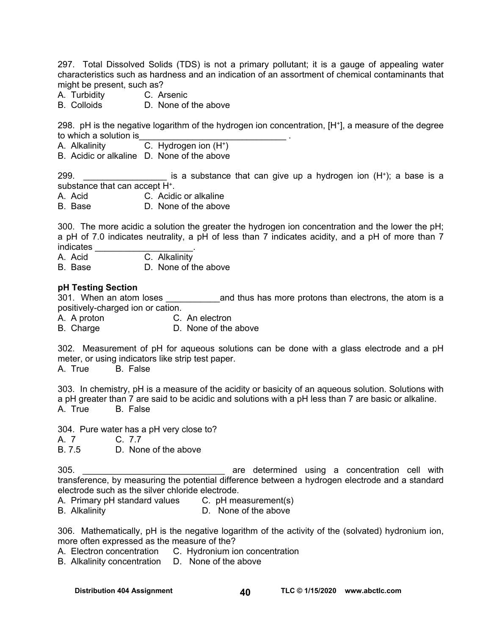297. Total Dissolved Solids (TDS) is not a primary pollutant; it is a gauge of appealing water characteristics such as hardness and an indication of an assortment of chemical contaminants that might be present, such as?

- A. Turbidity C. Arsenic
- B. Colloids **D. None of the above**

298. pH is the negative logarithm of the hydrogen ion concentration, [H+], a measure of the degree to which a solution is

A. Alkalinity  $C.$  Hydrogen ion  $(H^+)$ 

B. Acidic or alkaline D. None of the above

299.  $\blacksquare$  is a substance that can give up a hydrogen ion  $(H^*)$ ; a base is a substance that can accept H+.

A. Acid C. Acidic or alkaline

B. Base D. None of the above

300. The more acidic a solution the greater the hydrogen ion concentration and the lower the pH; a pH of 7.0 indicates neutrality, a pH of less than 7 indicates acidity, and a pH of more than 7 indicates \_\_\_\_\_\_\_\_\_\_\_\_\_\_\_\_\_\_\_\_.

A. Acid C. Alkalinity

B. Base D. None of the above

#### **pH Testing Section**

301. When an atom loses **and thus has more protons than electrons**, the atom is a positively-charged ion or cation.

A. A proton C. An electron

B. Charge D. None of the above

302. Measurement of pH for aqueous solutions can be done with a glass electrode and a pH meter, or using indicators like strip test paper.

A. True B. False

303. In chemistry, pH is a measure of the acidity or basicity of an aqueous solution. Solutions with a pH greater than 7 are said to be acidic and solutions with a pH less than 7 are basic or alkaline. A. True B. False

304. Pure water has a pH very close to?

A. 7 C. 7.7<br>B. 7.5 D. Nor

D. None of the above

305. **Example 2018** are determined using a concentration cell with transference, by measuring the potential difference between a hydrogen electrode and a standard electrode such as the silver chloride electrode.

- A. Primary pH standard values C. pH measurement(s)
- B. Alkalinity D. None of the above

306. Mathematically, pH is the negative logarithm of the activity of the (solvated) hydronium ion, more often expressed as the measure of the?

A. Electron concentration C. Hydronium ion concentration

B. Alkalinity concentration D. None of the above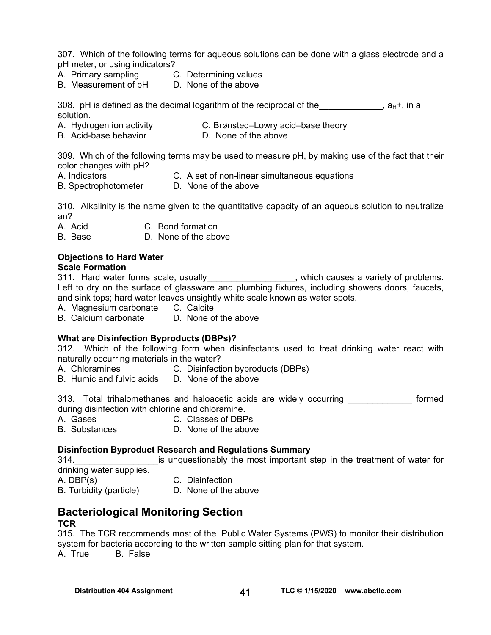307. Which of the following terms for aqueous solutions can be done with a glass electrode and a pH meter, or using indicators?

- A. Primary sampling C. Determining values
- B. Measurement of pH D. None of the above

308. pH is defined as the decimal logarithm of the reciprocal of the  $\mu$ ,  $\mu$ , in a solution.

- A. Hydrogen ion activity C. Brønsted–Lowry acid–base theory
- B. Acid-base behavior **D. None of the above**

309. Which of the following terms may be used to measure pH, by making use of the fact that their color changes with pH?

- A. Indicators C. A set of non-linear simultaneous equations
- B. SpectrophotometerD. None of the above

310. Alkalinity is the name given to the quantitative capacity of an aqueous solution to neutralize an?

A. Acid C. Bond formation

B. Base D. None of the above

## **Objections to Hard Water**

#### **Scale Formation**

311. Hard water forms scale, usually\_\_\_\_\_\_\_\_\_\_\_\_\_\_\_\_, which causes a variety of problems. Left to dry on the surface of glassware and plumbing fixtures, including showers doors, faucets, and sink tops; hard water leaves unsightly white scale known as water spots.

A. Magnesium carbonate C. Calcite

B. Calcium carbonate D. None of the above

#### **What are Disinfection Byproducts (DBPs)?**

312. Which of the following form when disinfectants used to treat drinking water react with naturally occurring materials in the water?

- A. Chloramines C. Disinfection byproducts (DBPs)
- B. Humic and fulvic acids D. None of the above

313. Total trihalomethanes and haloacetic acids are widely occurring **cometally** formed during disinfection with chlorine and chloramine.

- A. Gases C. Classes of DBPs
- B. Substances D. None of the above

#### **Disinfection Byproduct Research and Regulations Summary**

314. **Example 1314.** Is unquestionably the most important step in the treatment of water for drinking water supplies.

| A. DBP(s) | C. Disinfection |
|-----------|-----------------|
|-----------|-----------------|

B. Turbidity (particle) D. None of the above

## **Bacteriological Monitoring Section**

#### **TCR**

315. The TCR recommends most of the Public Water Systems (PWS) to monitor their distribution system for bacteria according to the written sample sitting plan for that system. A. True B. False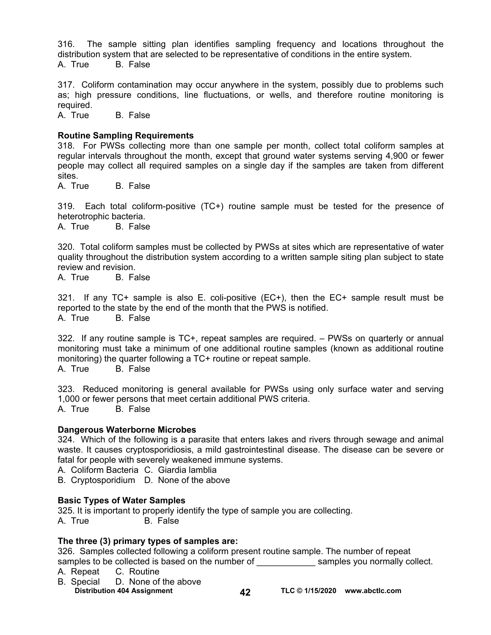316. The sample sitting plan identifies sampling frequency and locations throughout the distribution system that are selected to be representative of conditions in the entire system. A. True B. False

317. Coliform contamination may occur anywhere in the system, possibly due to problems such as; high pressure conditions, line fluctuations, or wells, and therefore routine monitoring is required.

A. True B. False

#### **Routine Sampling Requirements**

318. For PWSs collecting more than one sample per month, collect total coliform samples at regular intervals throughout the month, except that ground water systems serving 4,900 or fewer people may collect all required samples on a single day if the samples are taken from different sites.

A. True B. False

319. Each total coliform-positive (TC+) routine sample must be tested for the presence of heterotrophic bacteria.

A. True B. False

320. Total coliform samples must be collected by PWSs at sites which are representative of water quality throughout the distribution system according to a written sample siting plan subject to state review and revision.

A. True B. False

321. If any TC+ sample is also E. coli-positive (EC+), then the EC+ sample result must be reported to the state by the end of the month that the PWS is notified. A. True B. False

322. If any routine sample is TC+, repeat samples are required. – PWSs on quarterly or annual monitoring must take a minimum of one additional routine samples (known as additional routine monitoring) the quarter following a TC+ routine or repeat sample.

A. True B. False

323. Reduced monitoring is general available for PWSs using only surface water and serving 1,000 or fewer persons that meet certain additional PWS criteria. A. True B. False

#### **Dangerous Waterborne Microbes**

324. Which of the following is a parasite that enters lakes and rivers through sewage and animal waste. It causes cryptosporidiosis, a mild gastrointestinal disease. The disease can be severe or fatal for people with severely weakened immune systems.

A. Coliform Bacteria C. Giardia lamblia

B. Cryptosporidium D. None of the above

#### **Basic Types of Water Samples**

325. It is important to properly identify the type of sample you are collecting. A. True B. False

#### **The three (3) primary types of samples are:**

326. Samples collected following a coliform present routine sample. The number of repeat samples to be collected is based on the number of election of the samples you normally collect.

A. Repeat C. Routine

- B. Special D. None of the above
	- Distribution 404 Assignment **42 TLC © 1/15/2020** www.abctlc.com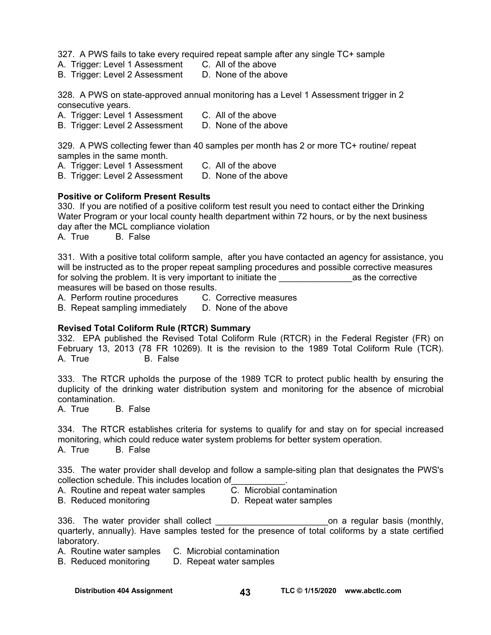327. A PWS fails to take every required repeat sample after any single TC+ sample

- A. Trigger: Level 1 Assessment C. All of the above
- B. Trigger: Level 2 Assessment D. None of the above

328. A PWS on state-approved annual monitoring has a Level 1 Assessment trigger in 2 consecutive years.

A. Trigger: Level 1 Assessment C. All of the above

B. Trigger: Level 2 Assessment D. None of the above

329. A PWS collecting fewer than 40 samples per month has 2 or more TC+ routine/ repeat samples in the same month.

- A. Trigger: Level 1 Assessment C. All of the above
- B. Trigger: Level 2 Assessment D. None of the above

## **Positive or Coliform Present Results**

330. If you are notified of a positive coliform test result you need to contact either the Drinking Water Program or your local county health department within 72 hours, or by the next business day after the MCL compliance violation

A. True B. False

331. With a positive total coliform sample, after you have contacted an agency for assistance, you will be instructed as to the proper repeat sampling procedures and possible corrective measures for solving the problem. It is very important to initiate the example of the corrective measures will be based on those results.

A. Perform routine procedures C. Corrective measures

B. Repeat sampling immediately D. None of the above

## **Revised Total Coliform Rule (RTCR) Summary**

332. EPA published the Revised Total Coliform Rule (RTCR) in the Federal Register (FR) on February 13, 2013 (78 FR 10269). It is the revision to the 1989 Total Coliform Rule (TCR). A. True B. False

333. The RTCR upholds the purpose of the 1989 TCR to protect public health by ensuring the duplicity of the drinking water distribution system and monitoring for the absence of microbial contamination.

A. True B. False

334. The RTCR establishes criteria for systems to qualify for and stay on for special increased monitoring, which could reduce water system problems for better system operation.<br>A. True B. False **B.** False

335. The water provider shall develop and follow a sample-siting plan that designates the PWS's collection schedule. This includes location of\_\_\_\_\_\_\_\_\_\_\_.

- A. Routine and repeat water samples C. Microbial contamination
- B. Reduced monitoring D. Repeat water samples
- -

336. The water provider shall collect example the state on a regular basis (monthly, quarterly, annually). Have samples tested for the presence of total coliforms by a state certified laboratory.

A. Routine water samples C. Microbial contamination

B. Reduced monitoring D. Repeat water samples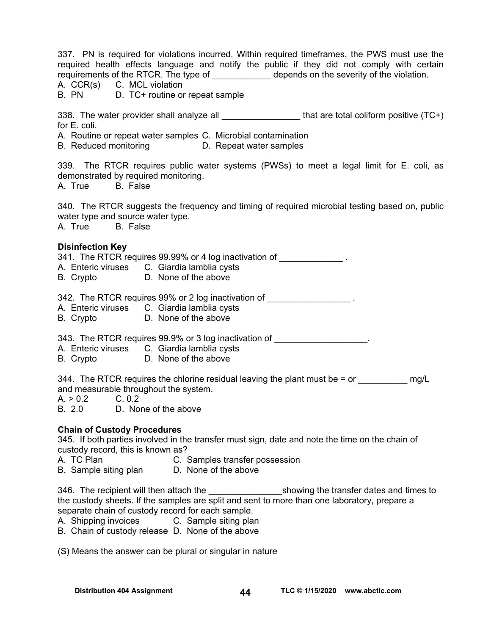337. PN is required for violations incurred. Within required timeframes, the PWS must use the required health effects language and notify the public if they did not comply with certain requirements of the RTCR. The type of depends on the severity of the violation. A. CCR(s) C. MCL violation B. PN D. TC+ routine or repeat sample 338. The water provider shall analyze all **the set of the set of the set of the vert** of the value (TC+) for F. coli. A. Routine or repeat water samples C. Microbial contamination B. Reduced monitoring D. Repeat water samples 339. The RTCR requires public water systems (PWSs) to meet a legal limit for E. coli, as demonstrated by required monitoring. A. True B. False 340. The RTCR suggests the frequency and timing of required microbial testing based on, public water type and source water type. A. True B. False **Disinfection Key**  341. The RTCR requires 99.99% or 4 log inactivation of \_\_\_\_\_\_\_\_\_\_\_\_\_\_. A. Enteric viruses C. Giardia lamblia cysts B. Crypto D. None of the above 342. The RTCR requires 99% or 2 log inactivation of \_\_\_\_\_\_\_\_\_\_\_\_\_\_\_\_\_\_\_\_. A. Enteric viruses C. Giardia lamblia cysts B. Crypto D. None of the above 343. The RTCR requires 99.9% or 3 log inactivation of \_\_\_\_\_\_\_\_\_\_\_\_\_\_\_\_\_\_\_\_. A. Enteric viruses C. Giardia lamblia cysts B. Crypto D. None of the above 344. The RTCR requires the chlorine residual leaving the plant must be  $=$  or  $\qquad \qquad$  mg/L and measurable throughout the system.  $A. > 0.2$  C. 0.2 B. 2.0 D. None of the above **Chain of Custody Procedures**  345. If both parties involved in the transfer must sign, date and note the time on the chain of custody record, this is known as? A. TC Plan C. Samples transfer possession B. Sample siting plan D. None of the above 346. The recipient will then attach the \_\_\_\_\_\_\_\_\_\_\_\_\_\_\_\_\_\_\_showing the transfer dates and times to the custody sheets. If the samples are split and sent to more than one laboratory, prepare a separate chain of custody record for each sample. A. Shipping invoices C. Sample siting plan B. Chain of custody release D. None of the above (S) Means the answer can be plural or singular in nature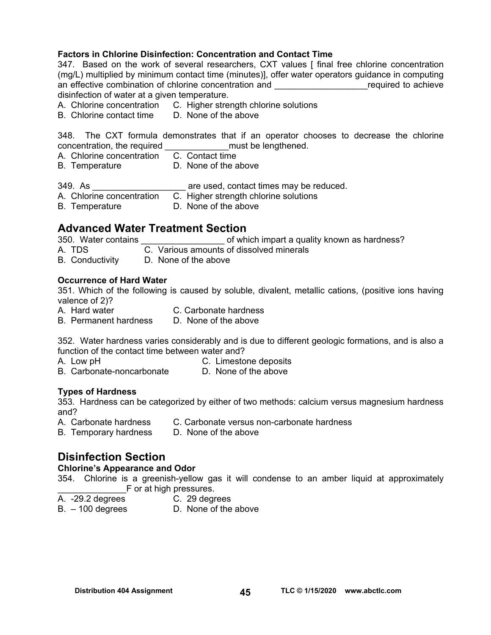### **Factors in Chlorine Disinfection: Concentration and Contact Time**

347. Based on the work of several researchers, CXT values [ final free chlorine concentration (mg/L) multiplied by minimum contact time (minutes)], offer water operators guidance in computing an effective combination of chlorine concentration and **Example 2** required to achieve disinfection of water at a given temperature.

- A. Chlorine concentration C. Higher strength chlorine solutions
- B. Chlorine contact time D. None of the above

348. The CXT formula demonstrates that if an operator chooses to decrease the chlorine concentration, the required end and some must be lengthened.

- A. Chlorine concentration C. Contact time
- B. Temperature D. None of the above

349. As \_\_\_\_\_\_\_\_\_\_\_\_\_\_\_\_\_\_\_ are used, contact times may be reduced.

- A. Chlorine concentration C. Higher strength chlorine solutions
- B. Temperature D. None of the above

## **Advanced Water Treatment Section**

350. Water contains \_\_\_\_\_\_\_\_\_\_\_\_\_\_\_\_\_ of which impart a quality known as hardness?

- A. TDS C. Various amounts of dissolved minerals
- B. Conductivity D. None of the above

#### **Occurrence of Hard Water**

351. Which of the following is caused by soluble, divalent, metallic cations, (positive ions having valence of 2)?

A. Hard water **C. Carbonate hardness** 

B. Permanent hardness D. None of the above

352. Water hardness varies considerably and is due to different geologic formations, and is also a function of the contact time between water and?

A. Low pH C. Limestone deposits

B. Carbonate-noncarbonate D. None of the above

## **Types of Hardness**

353. Hardness can be categorized by either of two methods: calcium versus magnesium hardness and?

A. Carbonate hardness C. Carbonate versus non-carbonate hardness

B. Temporary hardness D. None of the above

## **Disinfection Section**

## **Chlorine's Appearance and Odor**

354. Chlorine is a greenish-yellow gas it will condense to an amber liquid at approximately F or at high pressures.

- A. -29.2 degrees C. 29 degrees
- B. 100 degrees D. None of the above
-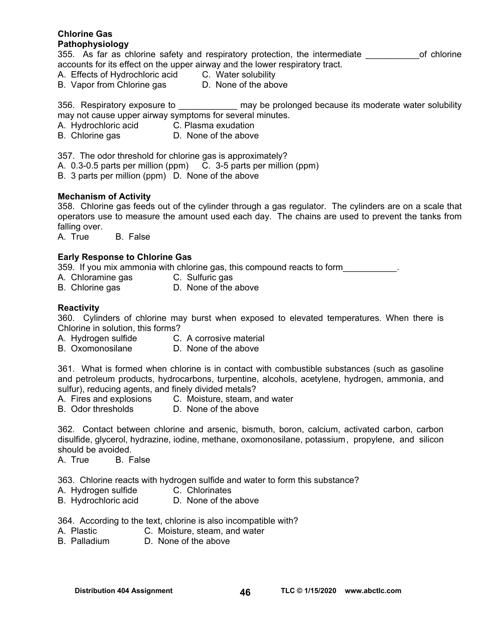#### **Chlorine Gas Pathophysiology**

355. As far as chlorine safety and respiratory protection, the intermediate \_\_\_\_\_\_\_\_\_\_\_\_\_\_of chlorine accounts for its effect on the upper airway and the lower respiratory tract.

A. Effects of Hydrochloric acid C. Water solubility

B. Vapor from Chlorine gas D. None of the above

356. Respiratory exposure to \_\_\_\_\_\_\_\_\_\_\_\_ may be prolonged because its moderate water solubility may not cause upper airway symptoms for several minutes.

- A. Hydrochloric acid C. Plasma exudation
- B. Chlorine gas **D.** None of the above

357. The odor threshold for chlorine gas is approximately?

- A. 0.3-0.5 parts per million (ppm) C. 3-5 parts per million (ppm)
- B. 3 parts per million (ppm) D. None of the above

#### **Mechanism of Activity**

358. Chlorine gas feeds out of the cylinder through a gas regulator. The cylinders are on a scale that operators use to measure the amount used each day. The chains are used to prevent the tanks from falling over.

A. True B. False

#### **Early Response to Chlorine Gas**

359. If you mix ammonia with chlorine gas, this compound reacts to form

- A. Chloramine gas C. Sulfuric gas
- B. Chlorine gas **D.** None of the above

#### **Reactivity**

360. Cylinders of chlorine may burst when exposed to elevated temperatures. When there is Chlorine in solution, this forms?

- A. Hydrogen sulfide C. A corrosive material
- B. Oxomonosilane D. None of the above

361. What is formed when chlorine is in contact with combustible substances (such as gasoline and petroleum products, hydrocarbons, turpentine, alcohols, acetylene, hydrogen, ammonia, and sulfur), reducing agents, and finely divided metals?

- A. Fires and explosions C. Moisture, steam, and water
- B. Odor thresholds D. None of the above

362. Contact between chlorine and arsenic, bismuth, boron, calcium, activated carbon, carbon disulfide, glycerol, hydrazine, iodine, methane, oxomonosilane, potassium , propylene, and silicon should be avoided.

A. True B. False

363. Chlorine reacts with hydrogen sulfide and water to form this substance?

- A. Hydrogen sulfide C. Chlorinates
- B. Hydrochloric acid D. None of the above

364. According to the text, chlorine is also incompatible with?

- A. Plastic C. Moisture, steam, and water
- B. Palladium D. None of the above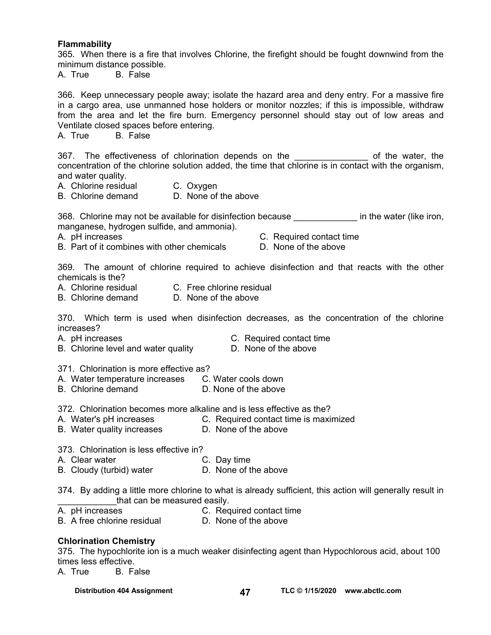#### **Flammability**

365. When there is a fire that involves Chlorine, the firefight should be fought downwind from the minimum distance possible.

A. True B. False

366. Keep unnecessary people away; isolate the hazard area and deny entry. For a massive fire in a cargo area, use unmanned hose holders or monitor nozzles; if this is impossible, withdraw from the area and let the fire burn. Emergency personnel should stay out of low areas and Ventilate closed spaces before entering.

A. True B. False

367. The effectiveness of chlorination depends on the \_\_\_\_\_\_\_\_\_\_\_\_\_\_\_\_\_ of the water, the concentration of the chlorine solution added, the time that chlorine is in contact with the organism, and water quality.

A. Chlorine residual C. Oxygen

B. Chlorine demand D. None of the above

368. Chlorine may not be available for disinfection because **the in the water (like iron,** manganese, hydrogen sulfide, and ammonia).

- B. Part of it combines with other chemicals D. None of the above
- A. pH increases C. Required contact time
	-

369. The amount of chlorine required to achieve disinfection and that reacts with the other chemicals is the?

- A. Chlorine residual C. Free chlorine residual
- B. Chlorine demand D. None of the above

370. Which term is used when disinfection decreases, as the concentration of the chlorine increases?

- 
- A. pH increases C. Required contact time
- B. Chlorine level and water quality **D.** None of the above
- 371. Chlorination is more effective as?
- A. Water temperature increases C. Water cools down
- B. Chlorine demand D. None of the above

372. Chlorination becomes more alkaline and is less effective as the?

- A. Water's pH increases **C. Required contact time is maximized**
- B. Water quality increases **D. None of the above**

373. Chlorination is less effective in?

- A. Clear water C. Day time
	-
- B. Cloudy (turbid) water **D.** None of the above
- 374. By adding a little more chlorine to what is already sufficient, this action will generally result in that can be measured easily.
- A. pH increases C. Required contact time
- B. A free chlorine residual D. None of the above

## **Chlorination Chemistry**

375. The hypochlorite ion is a much weaker disinfecting agent than Hypochlorous acid, about 100 times less effective.

A. True B. False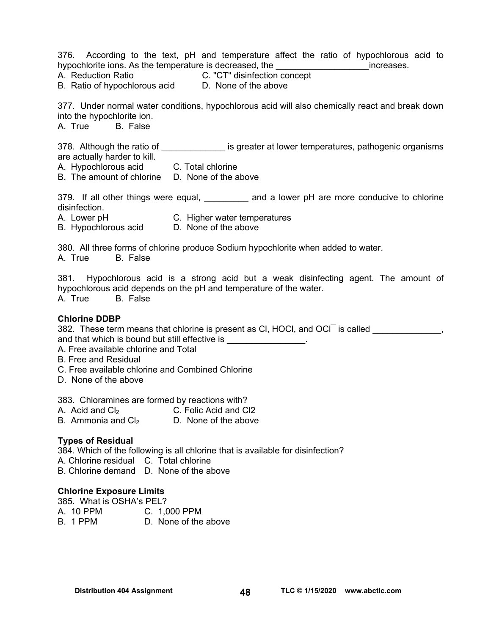376. According to the text, pH and temperature affect the ratio of hypochlorous acid to hypochlorite ions. As the temperature is decreased, the the contract increases. A. Reduction Ratio C. "CT" disinfection concept B. Ratio of hypochlorous acid D. None of the above 377. Under normal water conditions, hypochlorous acid will also chemically react and break down into the hypochlorite ion. A. True B. False 378. Although the ratio of \_\_\_\_\_\_\_\_\_\_\_\_\_\_\_ is greater at lower temperatures, pathogenic organisms are actually harder to kill. A. Hypochlorous acid C. Total chlorine B. The amount of chlorine D. None of the above 379. If all other things were equal, \_\_\_\_\_\_\_\_\_ and a lower pH are more conducive to chlorine disinfection. A. Lower pH C. Higher water temperatures B. Hypochlorous acid D. None of the above 380. All three forms of chlorine produce Sodium hypochlorite when added to water. A. True B. False 381. Hypochlorous acid is a strong acid but a weak disinfecting agent. The amount of hypochlorous acid depends on the pH and temperature of the water. A. True B. False **Chlorine DDBP**  382. These term means that chlorine is present as CI, HOCI, and OCI is called  $\sim$ and that which is bound but still effective is \_\_\_\_\_\_\_\_\_\_\_\_\_\_\_. A. Free available chlorine and Total B. Free and Residual C. Free available chlorine and Combined Chlorine D. None of the above 383. Chloramines are formed by reactions with? A. Acid and  $Cl_2$  C. Folic Acid and Cl2<br>B. Ammonia and Cl<sub>2</sub> D. None of the above B. Ammonia and  $Cl<sub>2</sub>$ 

## **Types of Residual**

384. Which of the following is all chlorine that is available for disinfection?

A. Chlorine residual C. Total chlorine

B. Chlorine demand D. None of the above

#### **Chlorine Exposure Limits**

| 385. What is OSHA's PEL? |                      |
|--------------------------|----------------------|
| A. 10 PPM                | C. 1,000 PPM         |
| B. 1 PPM                 | D. None of the above |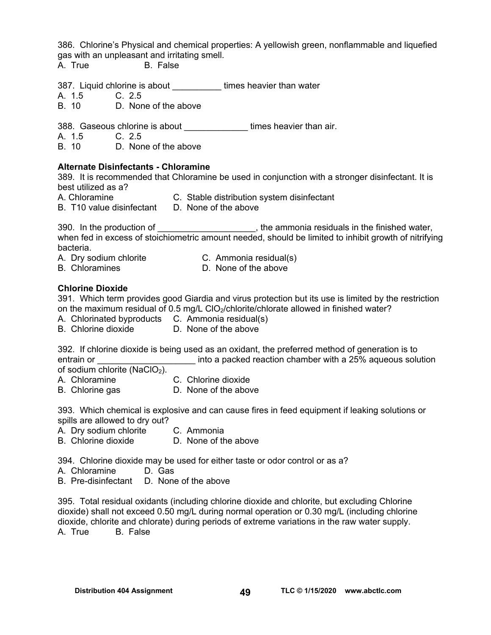386. Chlorine's Physical and chemical properties: A yellowish green, nonflammable and liquefied gas with an unpleasant and irritating smell.

A. True B. False

387. Liquid chlorine is about \_\_\_\_\_\_\_\_\_\_ times heavier than water

A. 1.5 C. 2.5<br>B 10 D Non

D. None of the above

388. Gaseous chlorine is about **times heavier than air.** 

A. 1.5 C. 2.5

B. 10 D. None of the above

#### **Alternate Disinfectants - Chloramine**

389. It is recommended that Chloramine be used in conjunction with a stronger disinfectant. It is best utilized as a?

A. Chloramine C. Stable distribution system disinfectant

B. T10 value disinfectant D. None of the above

390. In the production of \_\_\_\_\_\_\_\_\_\_\_\_\_\_\_\_\_\_\_\_, the ammonia residuals in the finished water, when fed in excess of stoichiometric amount needed, should be limited to inhibit growth of nitrifying bacteria.

A. Dry sodium chlorite C. Ammonia residual(s)

B. Chloramines **D. None of the above** 

#### **Chlorine Dioxide**

391. Which term provides good Giardia and virus protection but its use is limited by the restriction on the maximum residual of 0.5 mg/L ClO<sub>2</sub>/chlorite/chlorate allowed in finished water?

- A. Chlorinated byproducts C. Ammonia residual(s)
- B. Chlorine dioxide D. None of the above

392. If chlorine dioxide is being used as an oxidant, the preferred method of generation is to entrain or **Exercice 20** into a packed reaction chamber with a 25% aqueous solution

of sodium chlorite (NaClO<sub>2</sub>).

- A. Chloramine C. Chlorine dioxide
- B. Chlorine gas **D.** None of the above

393. Which chemical is explosive and can cause fires in feed equipment if leaking solutions or spills are allowed to dry out?

- A. Dry sodium chlorite C. Ammonia
- B. Chlorine dioxide D. None of the above

394. Chlorine dioxide may be used for either taste or odor control or as a?

- A. Chloramine D. Gas
- B. Pre-disinfectant D. None of the above

395. Total residual oxidants (including chlorine dioxide and chlorite, but excluding Chlorine dioxide) shall not exceed 0.50 mg/L during normal operation or 0.30 mg/L (including chlorine dioxide, chlorite and chlorate) during periods of extreme variations in the raw water supply. A. True B. False